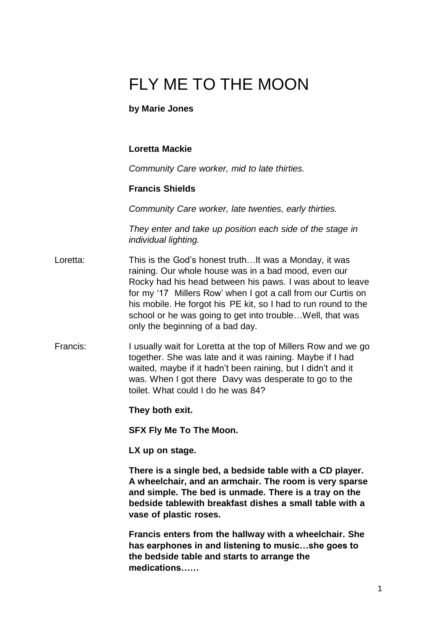# FLY ME TO THE MOON

#### **by Marie Jones**

#### **Loretta Mackie**

*Community Care worker, mid to late thirties.*

#### **Francis Shields**

*Community Care worker, late twenties, early thirties.*

*They enter and take up position each side of the stage in individual lighting.*

- Loretta: This is the God's honest truth…It was a Monday, it was raining. Our whole house was in a bad mood, even our Rocky had his head between his paws. I was about to leave for my '17 Millers Row' when I got a call from our Curtis on his mobile. He forgot his PE kit, so I had to run round to the school or he was going to get into trouble... Well, that was only the beginning of a bad day.
- Francis: I usually wait for Loretta at the top of Millers Row and we go together. She was late and it was raining. Maybe if I had waited, maybe if it hadn't been raining, but I didn't and it was. When I got there Davy was desperate to go to the toilet. What could I do he was 84?

**They both exit.**

**SFX Fly Me To The Moon.**

**LX up on stage.**

**There is a single bed, a bedside table with a CD player. A wheelchair, and an armchair. The room is very sparse and simple. The bed is unmade. There is a tray on the bedside tablewith breakfast dishes a small table with a vase of plastic roses.**

**Francis enters from the hallway with a wheelchair. She has earphones in and listening to music…she goes to the bedside table and starts to arrange the medications……**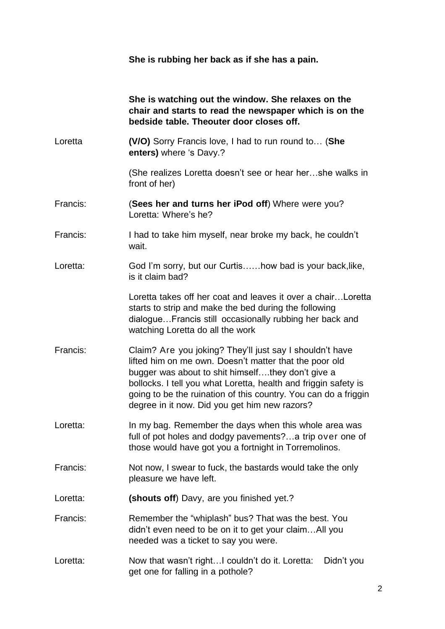**She is rubbing her back as if she has a pain.**

|          | She is watching out the window. She relaxes on the<br>chair and starts to read the newspaper which is on the<br>bedside table. Theouter door closes off.                                                                                                                                                                                                       |
|----------|----------------------------------------------------------------------------------------------------------------------------------------------------------------------------------------------------------------------------------------------------------------------------------------------------------------------------------------------------------------|
| Loretta  | (V/O) Sorry Francis love, I had to run round to (She<br>enters) where 's Davy.?                                                                                                                                                                                                                                                                                |
|          | (She realizes Loretta doesn't see or hear hershe walks in<br>front of her)                                                                                                                                                                                                                                                                                     |
| Francis: | (Sees her and turns her iPod off) Where were you?<br>Loretta: Where's he?                                                                                                                                                                                                                                                                                      |
| Francis: | I had to take him myself, near broke my back, he couldn't<br>wait.                                                                                                                                                                                                                                                                                             |
| Loretta: | God I'm sorry, but our Curtishow bad is your back, like,<br>is it claim bad?                                                                                                                                                                                                                                                                                   |
|          | Loretta takes off her coat and leaves it over a chairLoretta<br>starts to strip and make the bed during the following<br>dialogueFrancis still occasionally rubbing her back and<br>watching Loretta do all the work                                                                                                                                           |
| Francis: | Claim? Are you joking? They'll just say I shouldn't have<br>lifted him on me own. Doesn't matter that the poor old<br>bugger was about to shit himselfthey don't give a<br>bollocks. I tell you what Loretta, health and friggin safety is<br>going to be the ruination of this country. You can do a friggin<br>degree in it now. Did you get him new razors? |
| Loretta: | In my bag. Remember the days when this whole area was<br>full of pot holes and dodgy pavements?a trip over one of<br>those would have got you a fortnight in Torremolinos.                                                                                                                                                                                     |
| Francis: | Not now, I swear to fuck, the bastards would take the only<br>pleasure we have left.                                                                                                                                                                                                                                                                           |
| Loretta: | (shouts off) Davy, are you finished yet.?                                                                                                                                                                                                                                                                                                                      |
| Francis: | Remember the "whiplash" bus? That was the best. You<br>didn't even need to be on it to get your claimAll you<br>needed was a ticket to say you were.                                                                                                                                                                                                           |
| Loretta: | Now that wasn't rightI couldn't do it. Loretta:<br>Didn't you<br>get one for falling in a pothole?                                                                                                                                                                                                                                                             |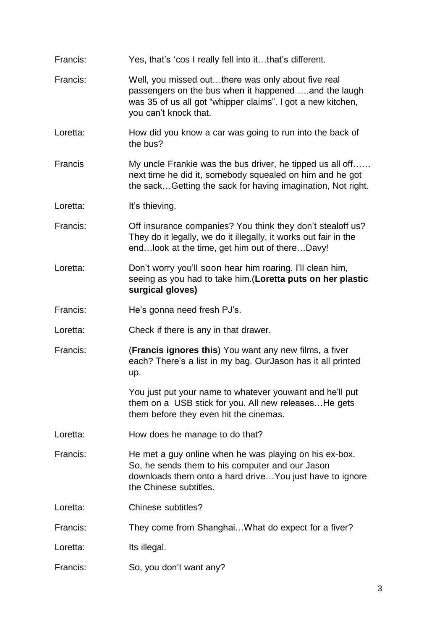| Francis: | Yes, that's 'cos I really fell into itthat's different.                                                                                                                                            |
|----------|----------------------------------------------------------------------------------------------------------------------------------------------------------------------------------------------------|
| Francis: | Well, you missed outthere was only about five real<br>passengers on the bus when it happened and the laugh<br>was 35 of us all got "whipper claims". I got a new kitchen,<br>you can't knock that. |
| Loretta: | How did you know a car was going to run into the back of<br>the bus?                                                                                                                               |
| Francis  | My uncle Frankie was the bus driver, he tipped us all off<br>next time he did it, somebody squealed on him and he got<br>the sackGetting the sack for having imagination, Not right.               |
| Loretta: | It's thieving.                                                                                                                                                                                     |
| Francis: | Off insurance companies? You think they don't stealoff us?<br>They do it legally, we do it illegally, it works out fair in the<br>endlook at the time, get him out of thereDavy!                   |
| Loretta: | Don't worry you'll soon hear him roaring. I'll clean him,<br>seeing as you had to take him. (Loretta puts on her plastic<br>surgical gloves)                                                       |
| Francis: | He's gonna need fresh PJ's.                                                                                                                                                                        |
| Loretta: | Check if there is any in that drawer.                                                                                                                                                              |
| Francis: | (Francis ignores this) You want any new films, a fiver<br>each? There's a list in my bag. OurJason has it all printed<br>up.                                                                       |
|          | You just put your name to whatever youwant and he'll put<br>them on a USB stick for you. All new releases He gets<br>them before they even hit the cinemas.                                        |
| Loretta: | How does he manage to do that?                                                                                                                                                                     |
| Francis: | He met a guy online when he was playing on his ex-box.<br>So, he sends them to his computer and our Jason<br>downloads them onto a hard drive You just have to ignore<br>the Chinese subtitles.    |
| Loretta: | Chinese subtitles?                                                                                                                                                                                 |
| Francis: | They come from Shanghai What do expect for a fiver?                                                                                                                                                |
| Loretta: | Its illegal.                                                                                                                                                                                       |
| Francis: | So, you don't want any?                                                                                                                                                                            |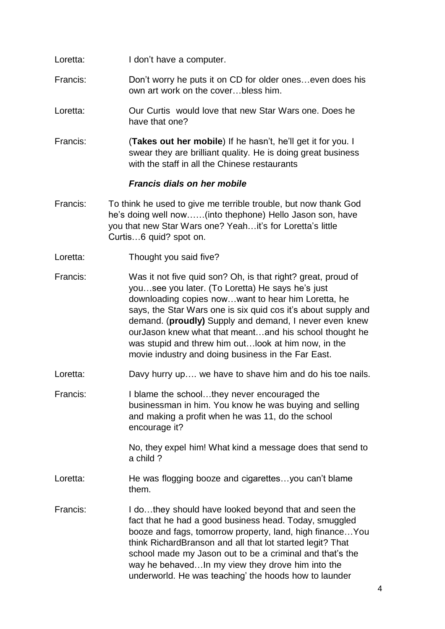- Loretta: I don't have a computer.
- Francis: Don't worry he puts it on CD for older ones…even does his own art work on the cover…bless him.
- Loretta: Our Curtis would love that new Star Wars one. Does he have that one?
- Francis: (**Takes out her mobile**) If he hasn't, he'll get it for you. I swear they are brilliant quality. He is doing great business with the staff in all the Chinese restaurants

#### *Francis dials on her mobile*

- Francis: To think he used to give me terrible trouble, but now thank God he's doing well now……(into thephone) Hello Jason son, have you that new Star Wars one? Yeah…it's for Loretta's little Curtis…6 quid? spot on.
- Loretta: Thought you said five?

Francis: Was it not five quid son? Oh, is that right? great, proud of you…see you later. (To Loretta) He says he's just downloading copies now…want to hear him Loretta, he says, the Star Wars one is six quid cos it's about supply and demand. (**proudly)** Supply and demand, I never even knew ourJason knew what that meant…and his school thought he was stupid and threw him out…look at him now, in the movie industry and doing business in the Far East.

- Loretta: Davy hurry up…. we have to shave him and do his toe nails.
- Francis: I blame the school…they never encouraged the businessman in him. You know he was buying and selling and making a profit when he was 11, do the school encourage it?

No, they expel him! What kind a message does that send to a child ?

- Loretta: He was flogging booze and cigarettes...you can't blame them.
- Francis: I do…they should have looked beyond that and seen the fact that he had a good business head. Today, smuggled booze and fags, tomorrow property, land, high finance…You think RichardBranson and all that lot started legit? That school made my Jason out to be a criminal and that's the way he behaved…In my view they drove him into the underworld. He was teaching' the hoods how to launder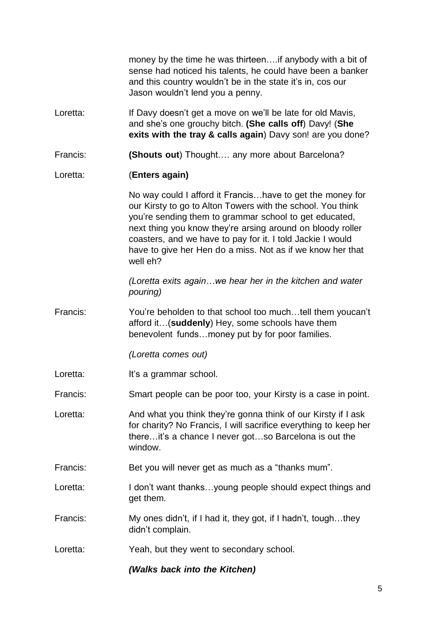|          | money by the time he was thirteen if anybody with a bit of<br>sense had noticed his talents, he could have been a banker<br>and this country wouldn't be in the state it's in, cos our<br>Jason wouldn't lend you a penny.                                                                                                                                                               |
|----------|------------------------------------------------------------------------------------------------------------------------------------------------------------------------------------------------------------------------------------------------------------------------------------------------------------------------------------------------------------------------------------------|
| Loretta: | If Davy doesn't get a move on we'll be late for old Mavis,<br>and she's one grouchy bitch. (She calls off) Davy! (She<br>exits with the tray & calls again) Davy son! are you done?                                                                                                                                                                                                      |
| Francis: | (Shouts out) Thought any more about Barcelona?                                                                                                                                                                                                                                                                                                                                           |
| Loretta: | (Enters again)                                                                                                                                                                                                                                                                                                                                                                           |
|          | No way could I afford it Francishave to get the money for<br>our Kirsty to go to Alton Towers with the school. You think<br>you're sending them to grammar school to get educated,<br>next thing you know they're arsing around on bloody roller<br>coasters, and we have to pay for it. I told Jackie I would<br>have to give her Hen do a miss. Not as if we know her that<br>well eh? |
|          | (Loretta exits againwe hear her in the kitchen and water<br>pouring)                                                                                                                                                                                                                                                                                                                     |
| Francis: | You're beholden to that school too muchtell them youcan't<br>afford it(suddenly) Hey, some schools have them<br>benevolent fundsmoney put by for poor families.                                                                                                                                                                                                                          |
|          | (Loretta comes out)                                                                                                                                                                                                                                                                                                                                                                      |
| Loretta: | It's a grammar school.                                                                                                                                                                                                                                                                                                                                                                   |
| Francis: | Smart people can be poor too, your Kirsty is a case in point.                                                                                                                                                                                                                                                                                                                            |
| Loretta: | And what you think they're gonna think of our Kirsty if I ask<br>for charity? No Francis, I will sacrifice everything to keep her<br>thereit's a chance I never gotso Barcelona is out the<br>window.                                                                                                                                                                                    |
| Francis: | Bet you will never get as much as a "thanks mum".                                                                                                                                                                                                                                                                                                                                        |
| Loretta: | I don't want thanksyoung people should expect things and<br>get them.                                                                                                                                                                                                                                                                                                                    |
| Francis: | My ones didn't, if I had it, they got, if I hadn't, toughthey<br>didn't complain.                                                                                                                                                                                                                                                                                                        |
| Loretta: | Yeah, but they went to secondary school.                                                                                                                                                                                                                                                                                                                                                 |
|          | (Walks back into the Kitchen)                                                                                                                                                                                                                                                                                                                                                            |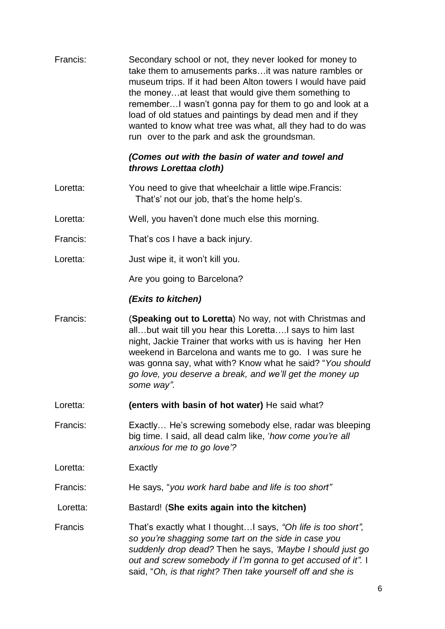| Francis: | Secondary school or not, they never looked for money to<br>take them to amusements parks it was nature rambles or<br>museum trips. If it had been Alton towers I would have paid<br>the moneyat least that would give them something to<br>remember I wasn't gonna pay for them to go and look at a<br>load of old statues and paintings by dead men and if they<br>wanted to know what tree was what, all they had to do was<br>run over to the park and ask the groundsman. |
|----------|-------------------------------------------------------------------------------------------------------------------------------------------------------------------------------------------------------------------------------------------------------------------------------------------------------------------------------------------------------------------------------------------------------------------------------------------------------------------------------|
|          | (Comes out with the basin of water and towel and<br>throws Lorettaa cloth)                                                                                                                                                                                                                                                                                                                                                                                                    |
| Loretta: | You need to give that wheelchair a little wipe. Francis:<br>That's' not our job, that's the home help's.                                                                                                                                                                                                                                                                                                                                                                      |
| Loretta: | Well, you haven't done much else this morning.                                                                                                                                                                                                                                                                                                                                                                                                                                |
| Francis: | That's cos I have a back injury.                                                                                                                                                                                                                                                                                                                                                                                                                                              |
| Loretta: | Just wipe it, it won't kill you.                                                                                                                                                                                                                                                                                                                                                                                                                                              |
|          | Are you going to Barcelona?                                                                                                                                                                                                                                                                                                                                                                                                                                                   |
|          | (Exits to kitchen)                                                                                                                                                                                                                                                                                                                                                                                                                                                            |
| Francis: | (Speaking out to Loretta) No way, not with Christmas and<br>allbut wait till you hear this LorettaI says to him last<br>night, Jackie Trainer that works with us is having her Hen<br>weekend in Barcelona and wants me to go. I was sure he<br>was gonna say, what with? Know what he said? "You should<br>go love, you deserve a break, and we'll get the money up<br>some way".                                                                                            |
| Loretta: | (enters with basin of hot water) He said what?                                                                                                                                                                                                                                                                                                                                                                                                                                |
| Francis: | Exactly He's screwing somebody else, radar was bleeping<br>big time. I said, all dead calm like, 'how come you're all<br>anxious for me to go love'?                                                                                                                                                                                                                                                                                                                          |
| Loretta: | Exactly                                                                                                                                                                                                                                                                                                                                                                                                                                                                       |
| Francis: | He says, "you work hard babe and life is too short"                                                                                                                                                                                                                                                                                                                                                                                                                           |
| Loretta: | Bastard! (She exits again into the kitchen)                                                                                                                                                                                                                                                                                                                                                                                                                                   |
| Francis  | That's exactly what I thoughtI says, "Oh life is too short",<br>so you're shagging some tart on the side in case you<br>suddenly drop dead? Then he says, 'Maybe I should just go<br>out and screw somebody if I'm gonna to get accused of it". I<br>said, "Oh, is that right? Then take yourself off and she is                                                                                                                                                              |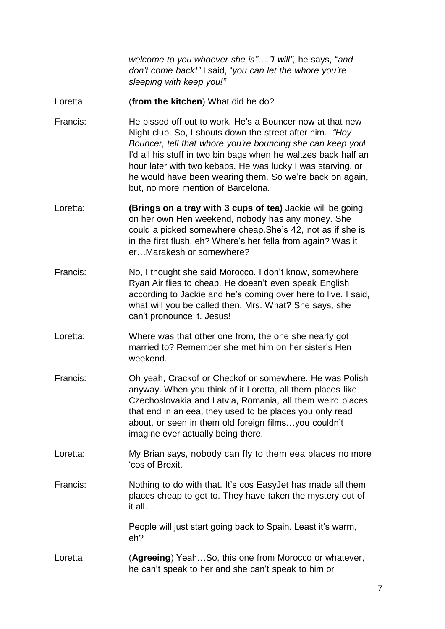*welcome to you whoever she is"…."I will",* he says, "*and don't come back!"* I said, "*you can let the whore you're sleeping with keep you!"*

- Loretta (**from the kitchen**) What did he do?
- Francis: He pissed off out to work. He's a Bouncer now at that new Night club. So, I shouts down the street after him. *"Hey Bouncer, tell that whore you're bouncing she can keep you*! I'd all his stuff in two bin bags when he waltzes back half an hour later with two kebabs. He was lucky I was starving, or he would have been wearing them. So we're back on again, but, no more mention of Barcelona.
- Loretta: **(Brings on a tray with 3 cups of tea)** Jackie will be going on her own Hen weekend, nobody has any money. She could a picked somewhere cheap.She's 42, not as if she is in the first flush, eh? Where's her fella from again? Was it er…Marakesh or somewhere?
- Francis: No, I thought she said Morocco. I don't know, somewhere Ryan Air flies to cheap. He doesn't even speak English according to Jackie and he's coming over here to live. I said, what will you be called then, Mrs. What? She says, she can't pronounce it. Jesus!
- Loretta: Where was that other one from, the one she nearly got married to? Remember she met him on her sister's Hen weekend.
- Francis: Oh yeah, Crackof or Checkof or somewhere. He was Polish anyway. When you think of it Loretta, all them places like Czechoslovakia and Latvia, Romania, all them weird places that end in an eea, they used to be places you only read about, or seen in them old foreign films…you couldn't imagine ever actually being there.
- Loretta: My Brian says, nobody can fly to them eea places no more 'cos of Brexit.
- Francis: Nothing to do with that. It's cos EasyJet has made all them places cheap to get to. They have taken the mystery out of it all…

People will just start going back to Spain. Least it's warm, eh?

Loretta (**Agreeing**) Yeah…So, this one from Morocco or whatever, he can't speak to her and she can't speak to him or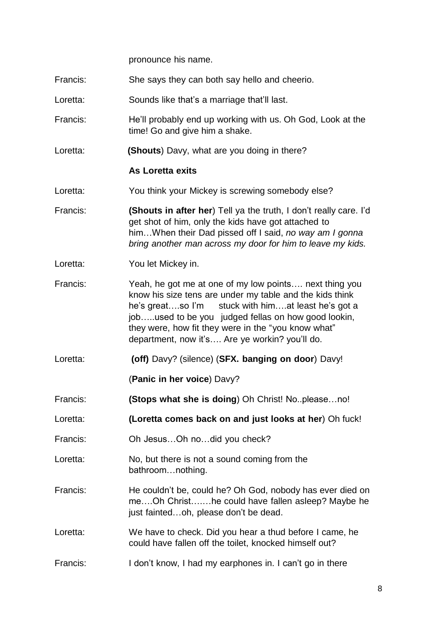pronounce his name.

- Francis: She says they can both say hello and cheerio.
- Loretta: Sounds like that's a marriage that'll last.
- Francis: He'll probably end up working with us. Oh God, Look at the time! Go and give him a shake.
- Loretta: **(Shouts**) Davy, what are you doing in there?

#### **As Loretta exits**

- Loretta: You think your Mickey is screwing somebody else?
- Francis: **(Shouts in after her**) Tell ya the truth, I don't really care. I'd get shot of him, only the kids have got attached to him…When their Dad pissed off I said, *no way am I gonna bring another man across my door for him to leave my kids.*
- Loretta: You let Mickey in.
- Francis: Yeah, he got me at one of my low points…. next thing you know his size tens are under my table and the kids think he's great...so I'm stuck with him...at least he's got a job…..used to be you judged fellas on how good lookin, they were, how fit they were in the "you know what" department, now it's…. Are ye workin? you'll do.
- Loretta: **(off)** Davy? (silence) (**SFX. banging on door**) Davy!

(**Panic in her voice**) Davy?

- Francis: **(Stops what she is doing**) Oh Christ! No..please…no!
- Loretta: **(Loretta comes back on and just looks at her**) Oh fuck!
- Francis: Oh Jesus…Oh no…did you check?
- Loretta: No, but there is not a sound coming from the bathroom…nothing.
- Francis: He couldn't be, could he? Oh God, nobody has ever died on me….Oh Christ….…he could have fallen asleep? Maybe he just fainted…oh, please don't be dead.
- Loretta: We have to check. Did you hear a thud before I came, he could have fallen off the toilet, knocked himself out?
- Francis: I don't know, I had my earphones in. I can't go in there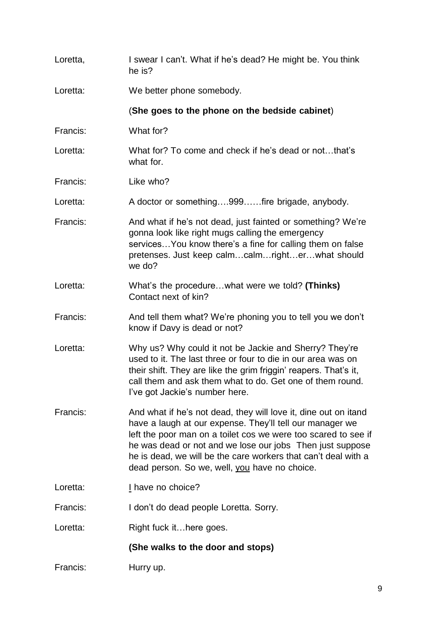| Loretta, | I swear I can't. What if he's dead? He might be. You think<br>he is?                                                                                                                                                                                                                                                                                                          |
|----------|-------------------------------------------------------------------------------------------------------------------------------------------------------------------------------------------------------------------------------------------------------------------------------------------------------------------------------------------------------------------------------|
| Loretta: | We better phone somebody.                                                                                                                                                                                                                                                                                                                                                     |
|          | (She goes to the phone on the bedside cabinet)                                                                                                                                                                                                                                                                                                                                |
| Francis: | What for?                                                                                                                                                                                                                                                                                                                                                                     |
| Loretta: | What for? To come and check if he's dead or notthat's<br>what for.                                                                                                                                                                                                                                                                                                            |
| Francis: | Like who?                                                                                                                                                                                                                                                                                                                                                                     |
| Loretta: | A doctor or something999fire brigade, anybody.                                                                                                                                                                                                                                                                                                                                |
| Francis: | And what if he's not dead, just fainted or something? We're<br>gonna look like right mugs calling the emergency<br>services You know there's a fine for calling them on false<br>pretenses. Just keep calmcalmrighterwhat should<br>we do?                                                                                                                                    |
| Loretta: | What's the procedurewhat were we told? (Thinks)<br>Contact next of kin?                                                                                                                                                                                                                                                                                                       |
| Francis: | And tell them what? We're phoning you to tell you we don't<br>know if Davy is dead or not?                                                                                                                                                                                                                                                                                    |
| Loretta: | Why us? Why could it not be Jackie and Sherry? They're<br>used to it. The last three or four to die in our area was on<br>their shift. They are like the grim friggin' reapers. That's it,<br>call them and ask them what to do. Get one of them round.<br>I've got Jackie's number here.                                                                                     |
| Francis: | And what if he's not dead, they will love it, dine out on itand<br>have a laugh at our expense. They'll tell our manager we<br>left the poor man on a toilet cos we were too scared to see if<br>he was dead or not and we lose our jobs Then just suppose<br>he is dead, we will be the care workers that can't deal with a<br>dead person. So we, well, you have no choice. |
| Loretta: | I have no choice?                                                                                                                                                                                                                                                                                                                                                             |
| Francis: | I don't do dead people Loretta. Sorry.                                                                                                                                                                                                                                                                                                                                        |
| Loretta: | Right fuck ithere goes.                                                                                                                                                                                                                                                                                                                                                       |
|          | (She walks to the door and stops)                                                                                                                                                                                                                                                                                                                                             |
| Francis: | Hurry up.                                                                                                                                                                                                                                                                                                                                                                     |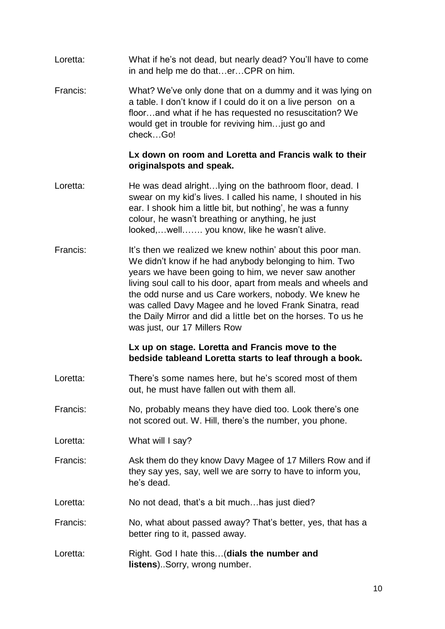- Loretta: What if he's not dead, but nearly dead? You'll have to come in and help me do that…er…CPR on him.
- Francis: What? We've only done that on a dummy and it was lying on a table. I don't know if I could do it on a live person on a floor…and what if he has requested no resuscitation? We would get in trouble for reviving him…just go and check…Go!

#### **Lx down on room and Loretta and Francis walk to their originalspots and speak.**

- Loretta: He was dead alright...Iying on the bathroom floor, dead. I swear on my kid's lives. I called his name, I shouted in his ear. I shook him a little bit, but nothing', he was a funny colour, he wasn't breathing or anything, he just looked,…well……. you know, like he wasn't alive.
- Francis: It's then we realized we knew nothin' about this poor man. We didn't know if he had anybody belonging to him. Two years we have been going to him, we never saw another living soul call to his door, apart from meals and wheels and the odd nurse and us Care workers, nobody. We knew he was called Davy Magee and he loved Frank Sinatra, read the Daily Mirror and did a little bet on the horses. To us he was just, our 17 Millers Row

#### **Lx up on stage. Loretta and Francis move to the bedside tableand Loretta starts to leaf through a book.**

- Loretta: There's some names here, but he's scored most of them out, he must have fallen out with them all.
- Francis: No, probably means they have died too. Look there's one not scored out. W. Hill, there's the number, you phone.
- Loretta: What will I say?
- Francis: Ask them do they know Davy Magee of 17 Millers Row and if they say yes, say, well we are sorry to have to inform you, he's dead.
- Loretta: No not dead, that's a bit much...has just died?
- Francis: No, what about passed away? That's better, yes, that has a better ring to it, passed away.
- Loretta: Right. God I hate this…(**dials the number and listens**)..Sorry, wrong number.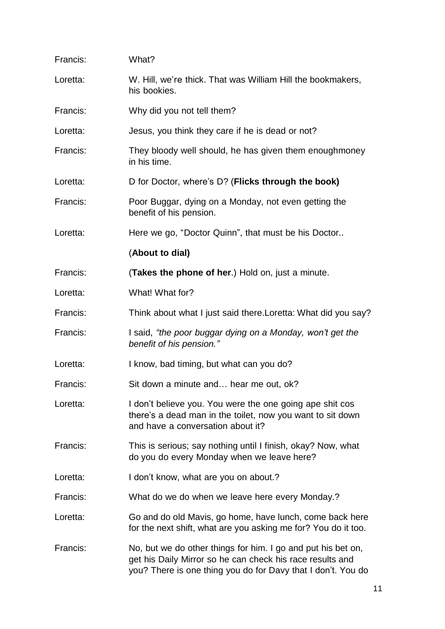| Francis: | What?                                                                                                                                                                                     |
|----------|-------------------------------------------------------------------------------------------------------------------------------------------------------------------------------------------|
| Loretta: | W. Hill, we're thick. That was William Hill the bookmakers,<br>his bookies.                                                                                                               |
| Francis: | Why did you not tell them?                                                                                                                                                                |
| Loretta: | Jesus, you think they care if he is dead or not?                                                                                                                                          |
| Francis: | They bloody well should, he has given them enoughmoney<br>in his time.                                                                                                                    |
| Loretta: | D for Doctor, where's D? (Flicks through the book)                                                                                                                                        |
| Francis: | Poor Buggar, dying on a Monday, not even getting the<br>benefit of his pension.                                                                                                           |
| Loretta: | Here we go, "Doctor Quinn", that must be his Doctor                                                                                                                                       |
|          | (About to dial)                                                                                                                                                                           |
| Francis: | (Takes the phone of her.) Hold on, just a minute.                                                                                                                                         |
| Loretta: | What! What for?                                                                                                                                                                           |
| Francis: | Think about what I just said there. Loretta: What did you say?                                                                                                                            |
| Francis: | I said, "the poor buggar dying on a Monday, won't get the<br>benefit of his pension."                                                                                                     |
| Loretta: | I know, bad timing, but what can you do?                                                                                                                                                  |
| Francis: | Sit down a minute and hear me out, ok?                                                                                                                                                    |
| Loretta: | I don't believe you. You were the one going ape shit cos<br>there's a dead man in the toilet, now you want to sit down<br>and have a conversation about it?                               |
| Francis: | This is serious; say nothing until I finish, okay? Now, what<br>do you do every Monday when we leave here?                                                                                |
| Loretta: | I don't know, what are you on about.?                                                                                                                                                     |
| Francis: | What do we do when we leave here every Monday.?                                                                                                                                           |
| Loretta: | Go and do old Mavis, go home, have lunch, come back here<br>for the next shift, what are you asking me for? You do it too.                                                                |
| Francis: | No, but we do other things for him. I go and put his bet on,<br>get his Daily Mirror so he can check his race results and<br>you? There is one thing you do for Davy that I don't. You do |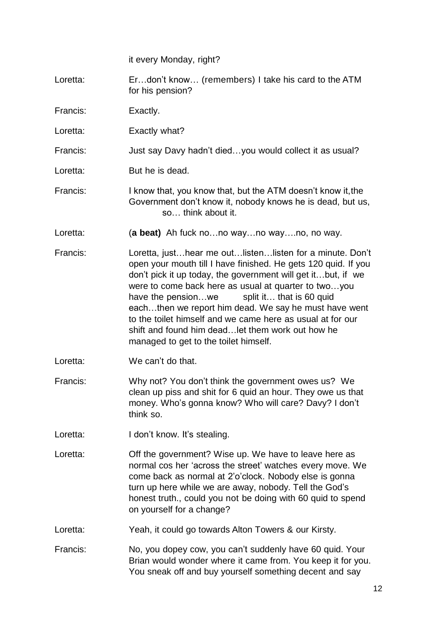it every Monday, right?

Loretta: Er…don't know… (remembers) I take his card to the ATM for his pension?

Francis: Exactly.

- Loretta: Exactly what?
- Francis: Just say Davy hadn't died…you would collect it as usual?
- Loretta: But he is dead.
- Francis: I know that, you know that, but the ATM doesn't know it,the Government don't know it, nobody knows he is dead, but us, so… think about it.
- Loretta: (**a beat)** Ah fuck no…no way…no way….no, no way.
- Francis: Loretta, just…hear me out…listen…listen for a minute. Don't open your mouth till I have finished. He gets 120 quid. If you don't pick it up today, the government will get it…but, if we were to come back here as usual at quarter to two…you have the pension...we split it... that is 60 quid each…then we report him dead. We say he must have went to the toilet himself and we came here as usual at for our shift and found him dead…let them work out how he managed to get to the toilet himself.
- Loretta: We can't do that.
- Francis: Why not? You don't think the government owes us? We clean up piss and shit for 6 quid an hour. They owe us that money. Who's gonna know? Who will care? Davy? I don't think so.
- Loretta: I don't know. It's stealing.
- Loretta: Off the government? Wise up. We have to leave here as normal cos her 'across the street' watches every move. We come back as normal at 2'o'clock. Nobody else is gonna turn up here while we are away, nobody. Tell the God's honest truth., could you not be doing with 60 quid to spend on yourself for a change?
- Loretta: Yeah, it could go towards Alton Towers & our Kirsty.
- Francis: No, you dopey cow, you can't suddenly have 60 quid. Your Brian would wonder where it came from. You keep it for you. You sneak off and buy yourself something decent and say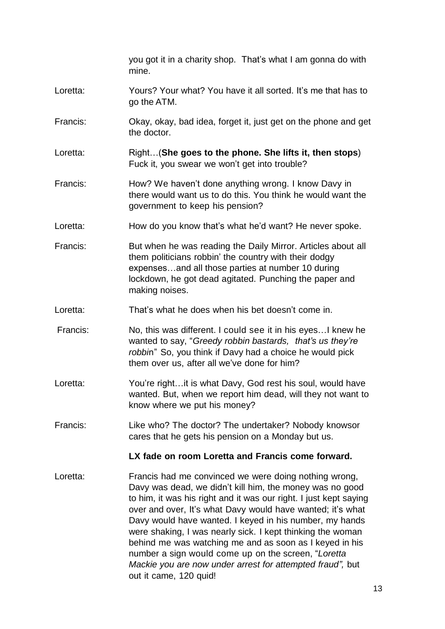you got it in a charity shop. That's what I am gonna do with mine.

- Loretta: Yours? Your what? You have it all sorted. It's me that has to go the ATM.
- Francis: Okay, okay, bad idea, forget it, just get on the phone and get the doctor.
- Loretta: Right…(**She goes to the phone. She lifts it, then stops**) Fuck it, you swear we won't get into trouble?
- Francis: How? We haven't done anything wrong. I know Davy in there would want us to do this. You think he would want the government to keep his pension?
- Loretta: How do you know that's what he'd want? He never spoke.
- Francis: But when he was reading the Daily Mirror. Articles about all them politicians robbin' the country with their dodgy expenses…and all those parties at number 10 during lockdown, he got dead agitated. Punching the paper and making noises.
- Loretta: That's what he does when his bet doesn't come in.
- Francis: No, this was different. I could see it in his eyes…I knew he wanted to say, "*Greedy robbin bastards, that's us they're robbi*n" So, you think if Davy had a choice he would pick them over us, after all we've done for him?
- Loretta: You're right...it is what Davy, God rest his soul, would have wanted. But, when we report him dead, will they not want to know where we put his money?
- Francis: Like who? The doctor? The undertaker? Nobody knowsor cares that he gets his pension on a Monday but us.

#### **LX fade on room Loretta and Francis come forward.**

Loretta: Francis had me convinced we were doing nothing wrong, Davy was dead, we didn't kill him, the money was no good to him, it was his right and it was our right. I just kept saying over and over, It's what Davy would have wanted; it's what Davy would have wanted. I keyed in his number, my hands were shaking, I was nearly sick. I kept thinking the woman behind me was watching me and as soon as I keyed in his number a sign would come up on the screen, "*Loretta Mackie you are now under arrest for attempted fraud",* but out it came, 120 quid!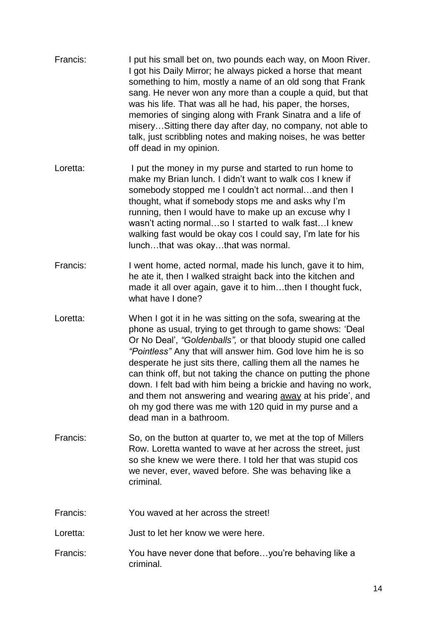| Francis: | I put his small bet on, two pounds each way, on Moon River.<br>I got his Daily Mirror; he always picked a horse that meant<br>something to him, mostly a name of an old song that Frank<br>sang. He never won any more than a couple a quid, but that<br>was his life. That was all he had, his paper, the horses,<br>memories of singing along with Frank Sinatra and a life of<br>miserySitting there day after day, no company, not able to<br>talk, just scribbling notes and making noises, he was better<br>off dead in my opinion.                                                                     |
|----------|---------------------------------------------------------------------------------------------------------------------------------------------------------------------------------------------------------------------------------------------------------------------------------------------------------------------------------------------------------------------------------------------------------------------------------------------------------------------------------------------------------------------------------------------------------------------------------------------------------------|
| Loretta: | I put the money in my purse and started to run home to<br>make my Brian lunch. I didn't want to walk cos I knew if<br>somebody stopped me I couldn't act normaland then I<br>thought, what if somebody stops me and asks why I'm<br>running, then I would have to make up an excuse why I<br>wasn't acting normalso I started to walk fast I knew<br>walking fast would be okay cos I could say, I'm late for his<br>lunchthat was okaythat was normal.                                                                                                                                                       |
| Francis: | I went home, acted normal, made his lunch, gave it to him,<br>he ate it, then I walked straight back into the kitchen and<br>made it all over again, gave it to himthen I thought fuck,<br>what have I done?                                                                                                                                                                                                                                                                                                                                                                                                  |
| Loretta: | When I got it in he was sitting on the sofa, swearing at the<br>phone as usual, trying to get through to game shows: 'Deal<br>Or No Deal', "Goldenballs", or that bloody stupid one called<br>"Pointless" Any that will answer him. God love him he is so<br>desperate he just sits there, calling them all the names he<br>can think off, but not taking the chance on putting the phone<br>down. I felt bad with him being a brickie and having no work,<br>and them not answering and wearing away at his pride', and<br>oh my god there was me with 120 quid in my purse and a<br>dead man in a bathroom. |
| Francis: | So, on the button at quarter to, we met at the top of Millers<br>Row. Loretta wanted to wave at her across the street, just<br>so she knew we were there. I told her that was stupid cos<br>we never, ever, waved before. She was behaving like a<br>criminal.                                                                                                                                                                                                                                                                                                                                                |
| Francis: | You waved at her across the street!                                                                                                                                                                                                                                                                                                                                                                                                                                                                                                                                                                           |
| Loretta: | Just to let her know we were here.                                                                                                                                                                                                                                                                                                                                                                                                                                                                                                                                                                            |
| Francis: | You have never done that beforeyou're behaving like a<br>criminal.                                                                                                                                                                                                                                                                                                                                                                                                                                                                                                                                            |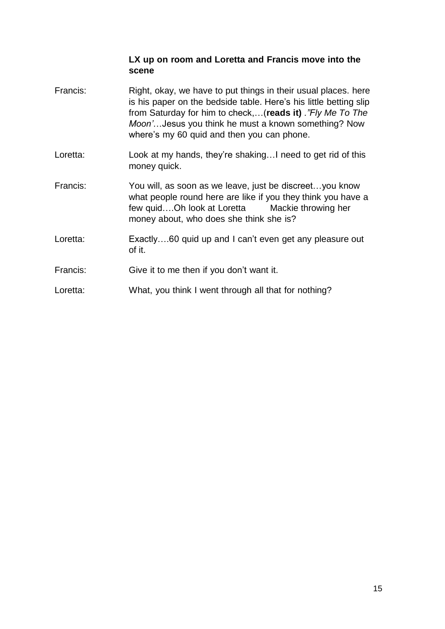#### **LX up on room and Loretta and Francis move into the scene**

- Francis: Right, okay, we have to put things in their usual places. here is his paper on the bedside table. Here's his little betting slip from Saturday for him to check,…(**reads it)** *."Fly Me To The Moon'*…Jesus you think he must a known something? Now where's my 60 quid and then you can phone.
- Loretta: Look at my hands, they're shaking... I need to get rid of this money quick.
- Francis: You will, as soon as we leave, just be discreet…you know what people round here are like if you they think you have a few quid….Oh look at Loretta Mackie throwing her money about, who does she think she is?
- Loretta: Exactly....60 quid up and I can't even get any pleasure out of it.
- Francis: Give it to me then if you don't want it.
- Loretta: What, you think I went through all that for nothing?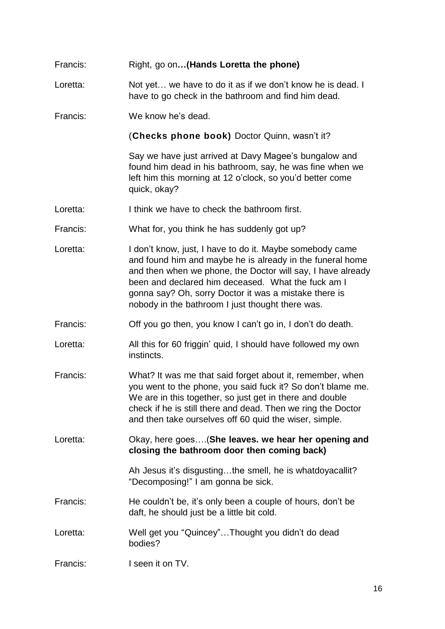| Francis: | Right, go on (Hands Loretta the phone)                                                                                                                                                                                                                                                                                                                  |
|----------|---------------------------------------------------------------------------------------------------------------------------------------------------------------------------------------------------------------------------------------------------------------------------------------------------------------------------------------------------------|
| Loretta: | Not yet we have to do it as if we don't know he is dead. I<br>have to go check in the bathroom and find him dead.                                                                                                                                                                                                                                       |
| Francis: | We know he's dead.                                                                                                                                                                                                                                                                                                                                      |
|          | (Checks phone book) Doctor Quinn, wasn't it?                                                                                                                                                                                                                                                                                                            |
|          | Say we have just arrived at Davy Magee's bungalow and<br>found him dead in his bathroom, say, he was fine when we<br>left him this morning at 12 o'clock, so you'd better come<br>quick, okay?                                                                                                                                                          |
| Loretta: | I think we have to check the bathroom first.                                                                                                                                                                                                                                                                                                            |
| Francis: | What for, you think he has suddenly got up?                                                                                                                                                                                                                                                                                                             |
| Loretta: | I don't know, just, I have to do it. Maybe somebody came<br>and found him and maybe he is already in the funeral home<br>and then when we phone, the Doctor will say, I have already<br>been and declared him deceased. What the fuck am I<br>gonna say? Oh, sorry Doctor it was a mistake there is<br>nobody in the bathroom I just thought there was. |
| Francis: | Off you go then, you know I can't go in, I don't do death.                                                                                                                                                                                                                                                                                              |
| Loretta: | All this for 60 friggin' quid, I should have followed my own<br>instincts.                                                                                                                                                                                                                                                                              |
| Francis: | What? It was me that said forget about it, remember, when<br>you went to the phone, you said fuck it? So don't blame me.<br>We are in this together, so just get in there and double<br>check if he is still there and dead. Then we ring the Doctor<br>and then take ourselves off 60 quid the wiser, simple.                                          |
| Loretta: | Okay, here goes (She leaves. we hear her opening and<br>closing the bathroom door then coming back)                                                                                                                                                                                                                                                     |
|          | Ah Jesus it's disgustingthe smell, he is whatdoyacallit?<br>"Decomposing!" I am gonna be sick.                                                                                                                                                                                                                                                          |
| Francis: | He couldn't be, it's only been a couple of hours, don't be<br>daft, he should just be a little bit cold.                                                                                                                                                                                                                                                |
| Loretta: | Well get you "Quincey"Thought you didn't do dead<br>bodies?                                                                                                                                                                                                                                                                                             |
| Francis: | I seen it on TV.                                                                                                                                                                                                                                                                                                                                        |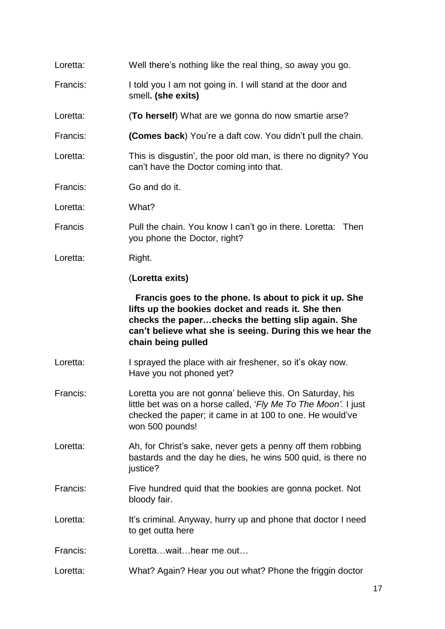| Loretta: | Well there's nothing like the real thing, so away you go.                                                                                                                                                                                             |
|----------|-------------------------------------------------------------------------------------------------------------------------------------------------------------------------------------------------------------------------------------------------------|
| Francis: | I told you I am not going in. I will stand at the door and<br>smell. (she exits)                                                                                                                                                                      |
| Loretta: | (To herself) What are we gonna do now smartie arse?                                                                                                                                                                                                   |
| Francis: | (Comes back) You're a daft cow. You didn't pull the chain.                                                                                                                                                                                            |
| Loretta: | This is disgustin', the poor old man, is there no dignity? You<br>can't have the Doctor coming into that.                                                                                                                                             |
| Francis: | Go and do it.                                                                                                                                                                                                                                         |
| Loretta: | What?                                                                                                                                                                                                                                                 |
| Francis  | Pull the chain. You know I can't go in there. Loretta: Then<br>you phone the Doctor, right?                                                                                                                                                           |
| Loretta: | Right.                                                                                                                                                                                                                                                |
|          | (Loretta exits)                                                                                                                                                                                                                                       |
|          | Francis goes to the phone. Is about to pick it up. She<br>lifts up the bookies docket and reads it. She then<br>checks the paperchecks the betting slip again. She<br>can't believe what she is seeing. During this we hear the<br>chain being pulled |
| Loretta: | I sprayed the place with air freshener, so it's okay now.<br>Have you not phoned yet?                                                                                                                                                                 |
| Francis: | Loretta you are not gonna' believe this. On Saturday, his<br>little bet was on a horse called, 'Fly Me To The Moon'. I just<br>checked the paper; it came in at 100 to one. He would've<br>won 500 pounds!                                            |
| Loretta: | Ah, for Christ's sake, never gets a penny off them robbing<br>bastards and the day he dies, he wins 500 quid, is there no<br>justice?                                                                                                                 |
| Francis: | Five hundred quid that the bookies are gonna pocket. Not<br>bloody fair.                                                                                                                                                                              |
| Loretta: |                                                                                                                                                                                                                                                       |
|          | It's criminal. Anyway, hurry up and phone that doctor I need<br>to get outta here                                                                                                                                                                     |
| Francis: | Lorettawaithear me out                                                                                                                                                                                                                                |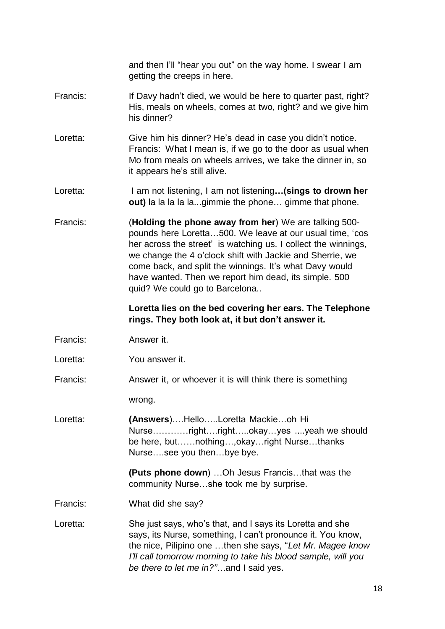and then I'll "hear you out" on the way home. I swear I am getting the creeps in here.

- Francis: If Davy hadn't died, we would be here to quarter past, right? His, meals on wheels, comes at two, right? and we give him his dinner?
- Loretta: Give him his dinner? He's dead in case you didn't notice. Francis: What I mean is, if we go to the door as usual when Mo from meals on wheels arrives, we take the dinner in, so it appears he's still alive.
- Loretta: I am not listening, I am not listening**…(sings to drown her out)** la la la la la...gimmie the phone… gimme that phone.
- Francis: (**Holding the phone away from her**) We are talking 500 pounds here Loretta…500. We leave at our usual time, 'cos her across the street' is watching us. I collect the winnings, we change the 4 o'clock shift with Jackie and Sherrie, we come back, and split the winnings. It's what Davy would have wanted. Then we report him dead, its simple. 500 quid? We could go to Barcelona..

#### **Loretta lies on the bed covering her ears. The Telephone rings. They both look at, it but don't answer it.**

- Francis: Answer it.
- Loretta: You answer it.
- Francis: Answer it, or whoever it is will think there is something

wrong.

Loretta: **(Answers**)….Hello…..Loretta Mackie…oh Hi Nurse…………right….right…..okay…yes ....yeah we should be here, but......nothing...,okay...right Nurse...thanks Nurse….see you then…bye bye.

> **(Puts phone down**) …Oh Jesus Francis…that was the community Nurse…she took me by surprise.

Francis: What did she say?

Loretta: She just says, who's that, and I says its Loretta and she says, its Nurse, something, I can't pronounce it. You know, the nice, Pilipino one …then she says, "*Let Mr. Magee know I'll call tomorrow morning to take his blood sample, will you be there to let me in?"…*and I said yes.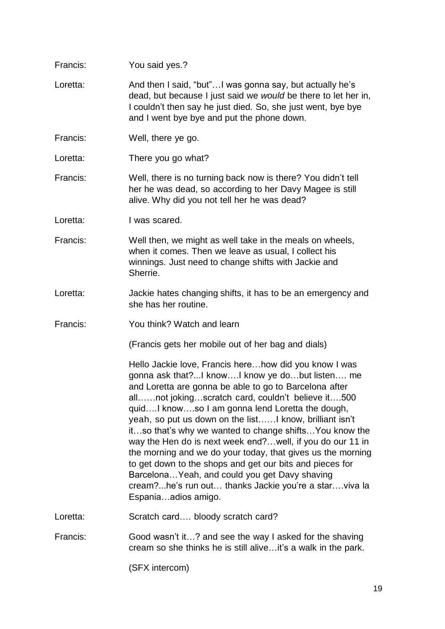| Francis: | You said yes.?                                                                                                                                                                                                                                                                                                                                                                                                                                                                                                                                                                                                                                                                                                            |
|----------|---------------------------------------------------------------------------------------------------------------------------------------------------------------------------------------------------------------------------------------------------------------------------------------------------------------------------------------------------------------------------------------------------------------------------------------------------------------------------------------------------------------------------------------------------------------------------------------------------------------------------------------------------------------------------------------------------------------------------|
| Loretta: | And then I said, "but"I was gonna say, but actually he's<br>dead, but because I just said we would be there to let her in,<br>I couldn't then say he just died. So, she just went, bye bye<br>and I went bye bye and put the phone down.                                                                                                                                                                                                                                                                                                                                                                                                                                                                                  |
| Francis: | Well, there ye go.                                                                                                                                                                                                                                                                                                                                                                                                                                                                                                                                                                                                                                                                                                        |
| Loretta: | There you go what?                                                                                                                                                                                                                                                                                                                                                                                                                                                                                                                                                                                                                                                                                                        |
| Francis: | Well, there is no turning back now is there? You didn't tell<br>her he was dead, so according to her Davy Magee is still<br>alive. Why did you not tell her he was dead?                                                                                                                                                                                                                                                                                                                                                                                                                                                                                                                                                  |
| Loretta: | I was scared.                                                                                                                                                                                                                                                                                                                                                                                                                                                                                                                                                                                                                                                                                                             |
| Francis: | Well then, we might as well take in the meals on wheels,<br>when it comes. Then we leave as usual, I collect his<br>winnings. Just need to change shifts with Jackie and<br>Sherrie.                                                                                                                                                                                                                                                                                                                                                                                                                                                                                                                                      |
| Loretta: | Jackie hates changing shifts, it has to be an emergency and<br>she has her routine.                                                                                                                                                                                                                                                                                                                                                                                                                                                                                                                                                                                                                                       |
| Francis: | You think? Watch and learn                                                                                                                                                                                                                                                                                                                                                                                                                                                                                                                                                                                                                                                                                                |
|          | (Francis gets her mobile out of her bag and dials)                                                                                                                                                                                                                                                                                                                                                                                                                                                                                                                                                                                                                                                                        |
|          | Hello Jackie love, Francis herehow did you know I was<br>gonna ask that?I knowI know ye dobut listen me<br>and Loretta are gonna be able to go to Barcelona after<br>allnot jokingscratch card, couldn't believe it500<br>quidI knowso I am gonna lend Loretta the dough,<br>yeah, so put us down on the listI know, brilliant isn't<br>itso that's why we wanted to change shiftsYou know the<br>way the Hen do is next week end? well, if you do our 11 in<br>the morning and we do your today, that gives us the morning<br>to get down to the shops and get our bits and pieces for<br>Barcelona Yeah, and could you get Davy shaving<br>cream?he's run out thanks Jackie you're a starviva la<br>Espaniaadios amigo. |
| Loretta: | Scratch card bloody scratch card?                                                                                                                                                                                                                                                                                                                                                                                                                                                                                                                                                                                                                                                                                         |
| Francis: | Good wasn't it? and see the way I asked for the shaving<br>cream so she thinks he is still alive it's a walk in the park.                                                                                                                                                                                                                                                                                                                                                                                                                                                                                                                                                                                                 |
|          | (SFX intercom)                                                                                                                                                                                                                                                                                                                                                                                                                                                                                                                                                                                                                                                                                                            |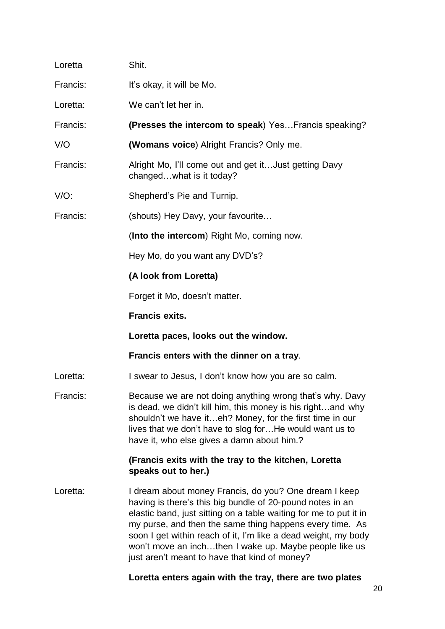| Loretta  | Shit.                                                                                                                                                                                                                                                                                                                                                                                                                            |
|----------|----------------------------------------------------------------------------------------------------------------------------------------------------------------------------------------------------------------------------------------------------------------------------------------------------------------------------------------------------------------------------------------------------------------------------------|
| Francis: | It's okay, it will be Mo.                                                                                                                                                                                                                                                                                                                                                                                                        |
| Loretta: | We can't let her in.                                                                                                                                                                                                                                                                                                                                                                                                             |
| Francis: | (Presses the intercom to speak) Yes Francis speaking?                                                                                                                                                                                                                                                                                                                                                                            |
| V/O      | (Womans voice) Alright Francis? Only me.                                                                                                                                                                                                                                                                                                                                                                                         |
| Francis: | Alright Mo, I'll come out and get it Just getting Davy<br>changedwhat is it today?                                                                                                                                                                                                                                                                                                                                               |
| $V/O$ :  | Shepherd's Pie and Turnip.                                                                                                                                                                                                                                                                                                                                                                                                       |
| Francis: | (shouts) Hey Davy, your favourite                                                                                                                                                                                                                                                                                                                                                                                                |
|          | (Into the intercom) Right Mo, coming now.                                                                                                                                                                                                                                                                                                                                                                                        |
|          | Hey Mo, do you want any DVD's?                                                                                                                                                                                                                                                                                                                                                                                                   |
|          | (A look from Loretta)                                                                                                                                                                                                                                                                                                                                                                                                            |
|          | Forget it Mo, doesn't matter.                                                                                                                                                                                                                                                                                                                                                                                                    |
|          | <b>Francis exits.</b>                                                                                                                                                                                                                                                                                                                                                                                                            |
|          | Loretta paces, looks out the window.                                                                                                                                                                                                                                                                                                                                                                                             |
|          | Francis enters with the dinner on a tray.                                                                                                                                                                                                                                                                                                                                                                                        |
| Loretta: | I swear to Jesus, I don't know how you are so calm.                                                                                                                                                                                                                                                                                                                                                                              |
| Francis: | Because we are not doing anything wrong that's why. Davy<br>is dead, we didn't kill him, this money is his rightand why<br>shouldn't we have iteh? Money, for the first time in our<br>lives that we don't have to slog forHe would want us to<br>have it, who else gives a damn about him.?                                                                                                                                     |
|          | (Francis exits with the tray to the kitchen, Loretta<br>speaks out to her.)                                                                                                                                                                                                                                                                                                                                                      |
| Loretta: | I dream about money Francis, do you? One dream I keep<br>having is there's this big bundle of 20-pound notes in an<br>elastic band, just sitting on a table waiting for me to put it in<br>my purse, and then the same thing happens every time. As<br>soon I get within reach of it, I'm like a dead weight, my body<br>won't move an inchthen I wake up. Maybe people like us<br>just aren't meant to have that kind of money? |
|          |                                                                                                                                                                                                                                                                                                                                                                                                                                  |

## **Loretta enters again with the tray, there are two plates**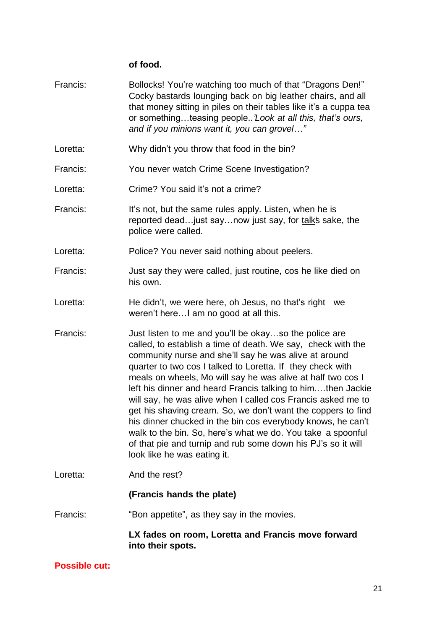## **of food.**

| Francis: | Bollocks! You're watching too much of that "Dragons Den!"<br>Cocky bastards lounging back on big leather chairs, and all<br>that money sitting in piles on their tables like it's a cuppa tea<br>or somethingteasing people'Look at all this, that's ours,<br>and if you minions want it, you can grovel"                                                                                                                                                                                                                                                                                                                                                                                                                               |
|----------|-----------------------------------------------------------------------------------------------------------------------------------------------------------------------------------------------------------------------------------------------------------------------------------------------------------------------------------------------------------------------------------------------------------------------------------------------------------------------------------------------------------------------------------------------------------------------------------------------------------------------------------------------------------------------------------------------------------------------------------------|
| Loretta: | Why didn't you throw that food in the bin?                                                                                                                                                                                                                                                                                                                                                                                                                                                                                                                                                                                                                                                                                              |
| Francis: | You never watch Crime Scene Investigation?                                                                                                                                                                                                                                                                                                                                                                                                                                                                                                                                                                                                                                                                                              |
| Loretta: | Crime? You said it's not a crime?                                                                                                                                                                                                                                                                                                                                                                                                                                                                                                                                                                                                                                                                                                       |
| Francis: | It's not, but the same rules apply. Listen, when he is<br>reported dead just say now just say, for talks sake, the<br>police were called.                                                                                                                                                                                                                                                                                                                                                                                                                                                                                                                                                                                               |
| Loretta: | Police? You never said nothing about peelers.                                                                                                                                                                                                                                                                                                                                                                                                                                                                                                                                                                                                                                                                                           |
| Francis: | Just say they were called, just routine, cos he like died on<br>his own.                                                                                                                                                                                                                                                                                                                                                                                                                                                                                                                                                                                                                                                                |
| Loretta: | He didn't, we were here, oh Jesus, no that's right we<br>weren't here I am no good at all this.                                                                                                                                                                                                                                                                                                                                                                                                                                                                                                                                                                                                                                         |
| Francis: | Just listen to me and you'll be okayso the police are<br>called, to establish a time of death. We say, check with the<br>community nurse and she'll say he was alive at around<br>quarter to two cos I talked to Loretta. If they check with<br>meals on wheels, Mo will say he was alive at half two cos I<br>left his dinner and heard Francis talking to himthen Jackie<br>will say, he was alive when I called cos Francis asked me to<br>get his shaving cream. So, we don't want the coppers to find<br>his dinner chucked in the bin cos everybody knows, he can't<br>walk to the bin. So, here's what we do. You take a spoonful<br>of that pie and turnip and rub some down his PJ's so it will<br>look like he was eating it. |
| Loretta: | And the rest?                                                                                                                                                                                                                                                                                                                                                                                                                                                                                                                                                                                                                                                                                                                           |
|          | (Francis hands the plate)                                                                                                                                                                                                                                                                                                                                                                                                                                                                                                                                                                                                                                                                                                               |
| Francis: | "Bon appetite", as they say in the movies.                                                                                                                                                                                                                                                                                                                                                                                                                                                                                                                                                                                                                                                                                              |
|          | LX fades on room, Loretta and Francis move forward<br>into their spots.                                                                                                                                                                                                                                                                                                                                                                                                                                                                                                                                                                                                                                                                 |

### **Possible cut:**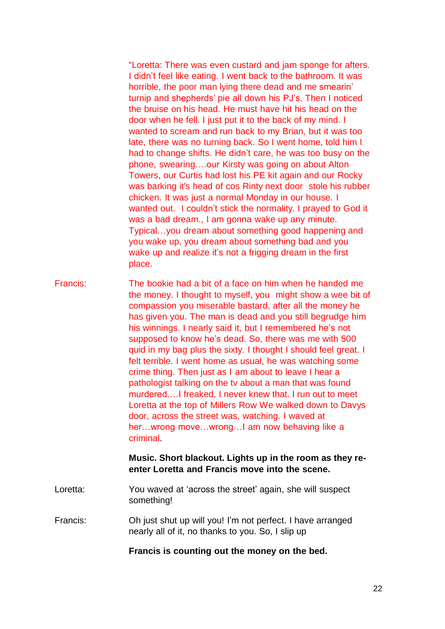"Loretta: There was even custard and jam sponge for afters. I didn't feel like eating. I went back to the bathroom. It was horrible, the poor man lying there dead and me smearin' turnip and shepherds' pie all down his PJ's. Then I noticed the bruise on his head. He must have hit his head on the door when he fell. I just put it to the back of my mind. I wanted to scream and run back to my Brian, but it was too late, there was no turning back. So I went home, told him I had to change shifts. He didn't care, he was too busy on the phone, swearing….our Kirsty was going on about Alton Towers, our Curtis had lost his PE kit again and our Rocky was barking it's head of cos Rinty next door stole his rubber chicken. It was just a normal Monday in our house. I wanted out. I couldn't stick the normality. I prayed to God it was a bad dream., I am gonna wake up any minute. Typical…you dream about something good happening and you wake up, you dream about something bad and you wake up and realize it's not a frigging dream in the first place.

Francis: The bookie had a bit of a face on him when he handed me the money. I thought to myself, you might show a wee bit of compassion you miserable bastard, after all the money he has given you. The man is dead and you still begrudge him his winnings. I nearly said it, but I remembered he's not supposed to know he's dead. So, there was me with 500 quid in my bag plus the sixty. I thought I should feel great. I felt terrible. I went home as usual, he was watching some crime thing. Then just as I am about to leave I hear a pathologist talking on the tv about a man that was found murdered.…I freaked, I never knew that. I run out to meet Loretta at the top of Millers Row We walked down to Davys door, across the street was, watching. I waved at her…wrong move…wrong…I am now behaving like a criminal.

#### **Music. Short blackout. Lights up in the room as they reenter Loretta and Francis move into the scene.**

- Loretta: You waved at 'across the street' again, she will suspect something!
- Francis: Oh just shut up will you! I'm not perfect. I have arranged nearly all of it, no thanks to you. So, I slip up

**Francis is counting out the money on the bed.**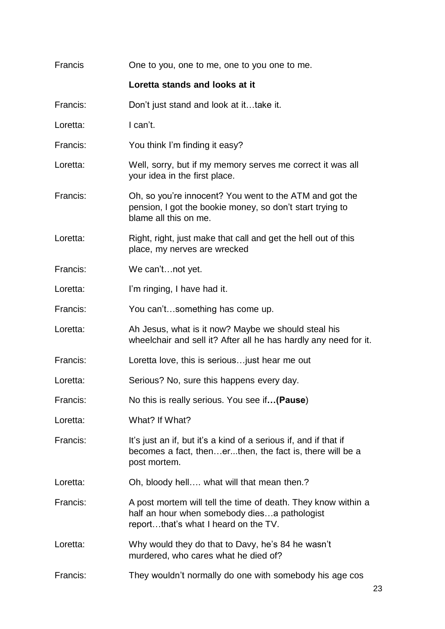| Francis  | One to you, one to me, one to you one to me.                                                                                                           |
|----------|--------------------------------------------------------------------------------------------------------------------------------------------------------|
|          | Loretta stands and looks at it                                                                                                                         |
| Francis: | Don't just stand and look at ittake it.                                                                                                                |
| Loretta: | I can't.                                                                                                                                               |
| Francis: | You think I'm finding it easy?                                                                                                                         |
| Loretta: | Well, sorry, but if my memory serves me correct it was all<br>your idea in the first place.                                                            |
| Francis: | Oh, so you're innocent? You went to the ATM and got the<br>pension, I got the bookie money, so don't start trying to<br>blame all this on me.          |
| Loretta: | Right, right, just make that call and get the hell out of this<br>place, my nerves are wrecked                                                         |
| Francis: | We can'tnot yet.                                                                                                                                       |
| Loretta: | I'm ringing, I have had it.                                                                                                                            |
| Francis: | You can'tsomething has come up.                                                                                                                        |
| Loretta: | Ah Jesus, what is it now? Maybe we should steal his<br>wheelchair and sell it? After all he has hardly any need for it.                                |
| Francis: | Loretta love, this is serious just hear me out                                                                                                         |
| Loretta: | Serious? No, sure this happens every day.                                                                                                              |
| Francis: | No this is really serious. You see if(Pause)                                                                                                           |
| Loretta: | What? If What?                                                                                                                                         |
| Francis: | It's just an if, but it's a kind of a serious if, and if that if<br>becomes a fact, thenerthen, the fact is, there will be a<br>post mortem.           |
| Loretta: | Oh, bloody hell what will that mean then.?                                                                                                             |
| Francis: | A post mortem will tell the time of death. They know within a<br>half an hour when somebody dies a pathologist<br>reportthat's what I heard on the TV. |
| Loretta: | Why would they do that to Davy, he's 84 he wasn't<br>murdered, who cares what he died of?                                                              |
| Francis: | They wouldn't normally do one with somebody his age cos                                                                                                |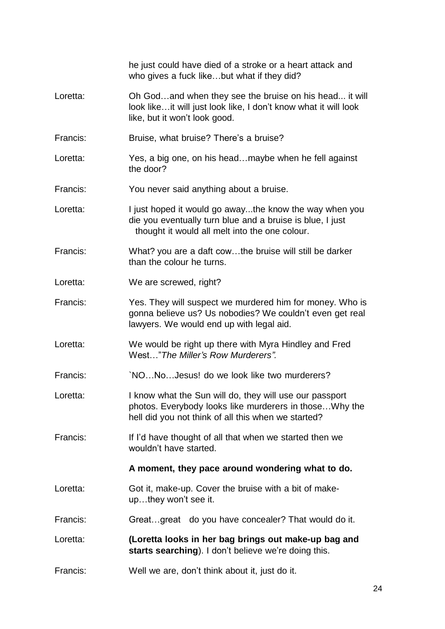|          | he just could have died of a stroke or a heart attack and<br>who gives a fuck likebut what if they did?                                                                   |
|----------|---------------------------------------------------------------------------------------------------------------------------------------------------------------------------|
| Loretta: | Oh Godand when they see the bruise on his head it will<br>look likeit will just look like, I don't know what it will look<br>like, but it won't look good.                |
| Francis: | Bruise, what bruise? There's a bruise?                                                                                                                                    |
| Loretta: | Yes, a big one, on his headmaybe when he fell against<br>the door?                                                                                                        |
| Francis: | You never said anything about a bruise.                                                                                                                                   |
| Loretta: | I just hoped it would go awaythe know the way when you<br>die you eventually turn blue and a bruise is blue, I just<br>thought it would all melt into the one colour.     |
| Francis: | What? you are a daft cowthe bruise will still be darker<br>than the colour he turns.                                                                                      |
| Loretta: | We are screwed, right?                                                                                                                                                    |
| Francis: | Yes. They will suspect we murdered him for money. Who is<br>gonna believe us? Us nobodies? We couldn't even get real<br>lawyers. We would end up with legal aid.          |
| Loretta: | We would be right up there with Myra Hindley and Fred<br>West" The Miller's Row Murderers".                                                                               |
| Francis: | 'NONoJesus! do we look like two murderers?                                                                                                                                |
| Loretta: | I know what the Sun will do, they will use our passport<br>photos. Everybody looks like murderers in those Why the<br>hell did you not think of all this when we started? |
| Francis: | If I'd have thought of all that when we started then we<br>wouldn't have started.                                                                                         |
|          | A moment, they pace around wondering what to do.                                                                                                                          |
| Loretta: | Got it, make-up. Cover the bruise with a bit of make-<br>upthey won't see it.                                                                                             |
| Francis: | Greatgreat do you have concealer? That would do it.                                                                                                                       |
| Loretta: | (Loretta looks in her bag brings out make-up bag and<br>starts searching). I don't believe we're doing this.                                                              |
| Francis: | Well we are, don't think about it, just do it.                                                                                                                            |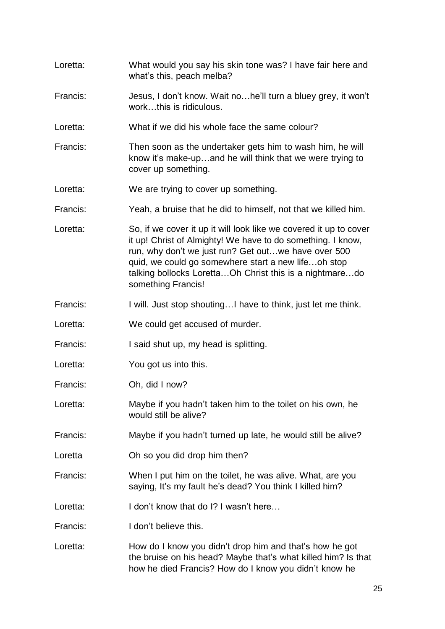what's this, peach melba? Francis: Jesus, I don't know. Wait no…he'll turn a bluey grey, it won't work…this is ridiculous. Loretta: What if we did his whole face the same colour? Francis: Then soon as the undertaker gets him to wash him, he will know it's make-up…and he will think that we were trying to cover up something. Loretta: We are trying to cover up something. Francis: Yeah, a bruise that he did to himself, not that we killed him. Loretta: So, if we cover it up it will look like we covered it up to cover it up! Christ of Almighty! We have to do something. I know, run, why don't we just run? Get out…we have over 500 quid, we could go somewhere start a new life…oh stop talking bollocks Loretta…Oh Christ this is a nightmare…do something Francis! Francis: I will. Just stop shouting...I have to think, just let me think. Loretta: We could get accused of murder. Francis: I said shut up, my head is splitting. Loretta: You got us into this. Francis: Oh, did I now? Loretta: Maybe if you hadn't taken him to the toilet on his own, he would still be alive? Francis: Maybe if you hadn't turned up late, he would still be alive? Loretta **Oh so you did drop him then?** Francis: When I put him on the toilet, he was alive. What, are you saying, It's my fault he's dead? You think I killed him? Loretta: I don't know that do I? I wasn't here… Francis: I don't believe this. Loretta: How do I know you didn't drop him and that's how he got the bruise on his head? Maybe that's what killed him? Is that how he died Francis? How do I know you didn't know he

Loretta: What would you say his skin tone was? I have fair here and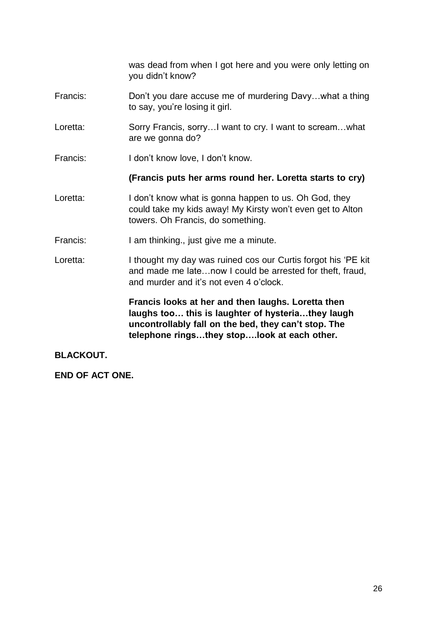was dead from when I got here and you were only letting on you didn't know? Francis: Don't you dare accuse me of murdering Davy…what a thing to say, you're losing it girl. Loretta: Sorry Francis, sorry... I want to cry. I want to scream...what are we gonna do? Francis: I don't know love, I don't know. **(Francis puts her arms round her. Loretta starts to cry)** Loretta: I don't know what is gonna happen to us. Oh God, they could take my kids away! My Kirsty won't even get to Alton towers. Oh Francis, do something. Francis: I am thinking., just give me a minute. Loretta: I thought my day was ruined cos our Curtis forgot his 'PE kit and made me late…now I could be arrested for theft, fraud, and murder and it's not even 4 o'clock.

**Francis looks at her and then laughs. Loretta then laughs too… this is laughter of hysteria…they laugh uncontrollably fall on the bed, they can't stop. The telephone rings…they stop….look at each other.**

**BLACKOUT.**

**END OF ACT ONE.**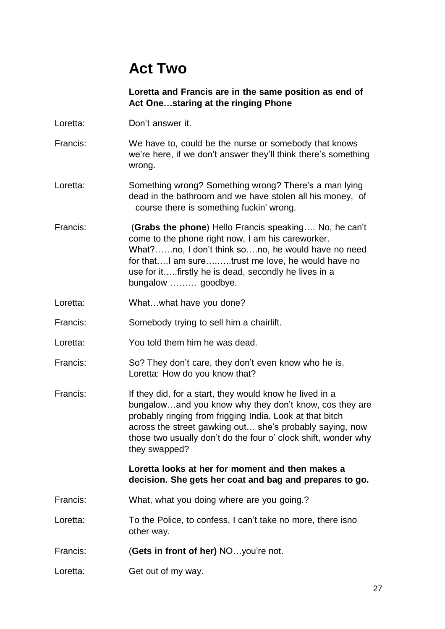## **Act Two**

**Loretta and Francis are in the same position as end of Act One…staring at the ringing Phone**

- Loretta: Don't answer it.
- Francis: We have to, could be the nurse or somebody that knows we're here, if we don't answer they'll think there's something wrong.
- Loretta: Something wrong? Something wrong? There's a man lying dead in the bathroom and we have stolen all his money, of course there is something fuckin' wrong.
- Francis: (**Grabs the phone**) Hello Francis speaking…. No, he can't come to the phone right now, I am his careworker. What?……no, I don't think so….no, he would have no need for that….I am sure….…..trust me love, he would have no use for it…..firstly he is dead, secondly he lives in a bungalow ……… goodbye.
- Loretta: What...what have you done?
- Francis: Somebody trying to sell him a chairlift.
- Loretta: You told them him he was dead.
- Francis: So? They don't care, they don't even know who he is. Loretta: How do you know that?
- Francis: If they did, for a start, they would know he lived in a bungalow…and you know why they don't know, cos they are probably ringing from frigging India. Look at that bitch across the street gawking out… she's probably saying, now those two usually don't do the four o' clock shift, wonder why they swapped?

#### **Loretta looks at her for moment and then makes a decision. She gets her coat and bag and prepares to go.**

- Francis: What, what you doing where are you going.?
- Loretta: To the Police, to confess, I can't take no more, there isno other way.
- Francis: (**Gets in front of her)** NO…you're not.
- Loretta: Get out of my way.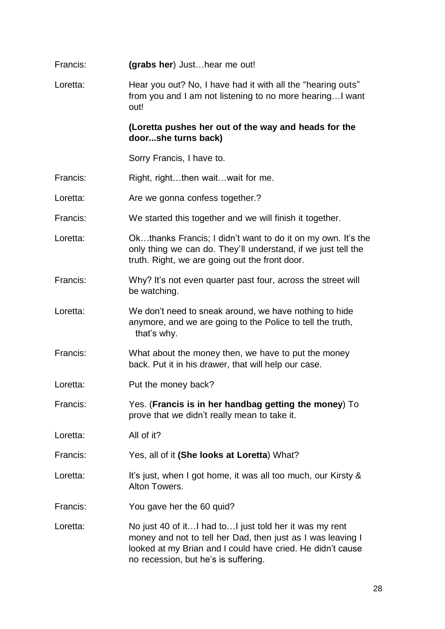| Francis: | (grabs her) Justhear me out!                                                                                                                                                                                                |
|----------|-----------------------------------------------------------------------------------------------------------------------------------------------------------------------------------------------------------------------------|
| Loretta: | Hear you out? No, I have had it with all the "hearing outs"<br>from you and I am not listening to no more hearing I want<br>out!                                                                                            |
|          | (Loretta pushes her out of the way and heads for the<br>doorshe turns back)                                                                                                                                                 |
|          | Sorry Francis, I have to.                                                                                                                                                                                                   |
| Francis: | Right, rightthen waitwait for me.                                                                                                                                                                                           |
| Loretta: | Are we gonna confess together.?                                                                                                                                                                                             |
| Francis: | We started this together and we will finish it together.                                                                                                                                                                    |
| Loretta: | Okthanks Francis; I didn't want to do it on my own. It's the<br>only thing we can do. They'll understand, if we just tell the<br>truth. Right, we are going out the front door.                                             |
| Francis: | Why? It's not even quarter past four, across the street will<br>be watching.                                                                                                                                                |
| Loretta: | We don't need to sneak around, we have nothing to hide<br>anymore, and we are going to the Police to tell the truth,<br>that's why.                                                                                         |
| Francis: | What about the money then, we have to put the money<br>back. Put it in his drawer, that will help our case.                                                                                                                 |
| Loretta: | Put the money back?                                                                                                                                                                                                         |
| Francis: | Yes. (Francis is in her handbag getting the money) To<br>prove that we didn't really mean to take it.                                                                                                                       |
| Loretta: | All of it?                                                                                                                                                                                                                  |
| Francis: | Yes, all of it (She looks at Loretta) What?                                                                                                                                                                                 |
| Loretta: | It's just, when I got home, it was all too much, our Kirsty &<br>Alton Towers.                                                                                                                                              |
| Francis: | You gave her the 60 quid?                                                                                                                                                                                                   |
| Loretta: | No just 40 of itI had toI just told her it was my rent<br>money and not to tell her Dad, then just as I was leaving I<br>looked at my Brian and I could have cried. He didn't cause<br>no recession, but he's is suffering. |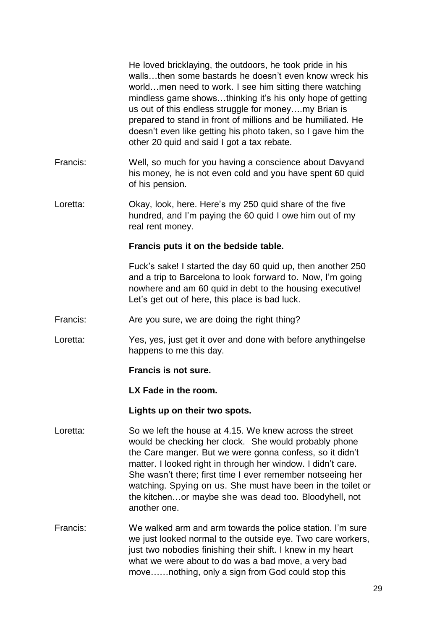|          | He loved bricklaying, the outdoors, he took pride in his<br>wallsthen some bastards he doesn't even know wreck his<br>worldmen need to work. I see him sitting there watching<br>mindless game showsthinking it's his only hope of getting<br>us out of this endless struggle for moneymy Brian is<br>prepared to stand in front of millions and be humiliated. He<br>doesn't even like getting his photo taken, so I gave him the<br>other 20 quid and said I got a tax rebate. |
|----------|----------------------------------------------------------------------------------------------------------------------------------------------------------------------------------------------------------------------------------------------------------------------------------------------------------------------------------------------------------------------------------------------------------------------------------------------------------------------------------|
| Francis: | Well, so much for you having a conscience about Davyand<br>his money, he is not even cold and you have spent 60 quid<br>of his pension.                                                                                                                                                                                                                                                                                                                                          |
| Loretta: | Okay, look, here. Here's my 250 quid share of the five<br>hundred, and I'm paying the 60 quid I owe him out of my<br>real rent money.                                                                                                                                                                                                                                                                                                                                            |
|          | Francis puts it on the bedside table.                                                                                                                                                                                                                                                                                                                                                                                                                                            |
|          | Fuck's sake! I started the day 60 quid up, then another 250<br>and a trip to Barcelona to look forward to. Now, I'm going<br>nowhere and am 60 quid in debt to the housing executive!<br>Let's get out of here, this place is bad luck.                                                                                                                                                                                                                                          |
| Francis: | Are you sure, we are doing the right thing?                                                                                                                                                                                                                                                                                                                                                                                                                                      |
| Loretta: | Yes, yes, just get it over and done with before anythingelse<br>happens to me this day.                                                                                                                                                                                                                                                                                                                                                                                          |
|          | Francis is not sure.                                                                                                                                                                                                                                                                                                                                                                                                                                                             |
|          | LX Fade in the room.                                                                                                                                                                                                                                                                                                                                                                                                                                                             |
|          | Lights up on their two spots.                                                                                                                                                                                                                                                                                                                                                                                                                                                    |
| Loretta: | So we left the house at 4.15. We knew across the street<br>would be checking her clock. She would probably phone<br>the Care manger. But we were gonna confess, so it didn't<br>matter. I looked right in through her window. I didn't care.<br>She wasn't there; first time I ever remember notseeing her<br>watching. Spying on us. She must have been in the toilet or<br>the kitchenor maybe she was dead too. Bloodyhell, not<br>another one.                               |
| Francis: | We walked arm and arm towards the police station. I'm sure<br>we just looked normal to the outside eye. Two care workers,<br>just two nobodies finishing their shift. I knew in my heart<br>what we were about to do was a bad move, a very bad<br>movenothing, only a sign from God could stop this                                                                                                                                                                             |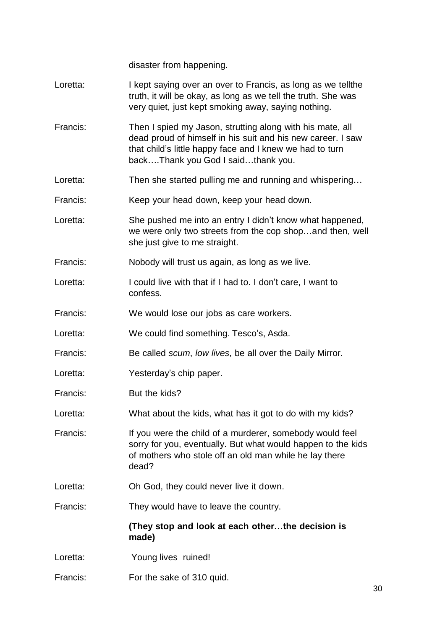disaster from happening.

- Loretta: I kept saying over an over to Francis, as long as we tell the truth, it will be okay, as long as we tell the truth. She was very quiet, just kept smoking away, saying nothing.
- Francis: Then I spied my Jason, strutting along with his mate, all dead proud of himself in his suit and his new career. I saw that child's little happy face and I knew we had to turn back….Thank you God I said…thank you.
- Loretta: Then she started pulling me and running and whispering...
- Francis: Keep your head down, keep your head down.
- Loretta: She pushed me into an entry I didn't know what happened, we were only two streets from the cop shop…and then, well she just give to me straight.
- Francis: Nobody will trust us again, as long as we live.
- Loretta: I could live with that if I had to, I don't care, I want to confess.
- Francis: We would lose our jobs as care workers.
- Loretta: We could find something. Tesco's, Asda.
- Francis: Be called *scum*, *low lives*, be all over the Daily Mirror.
- Loretta: Yesterday's chip paper.
- Francis: But the kids?
- Loretta: What about the kids, what has it got to do with my kids?
- Francis: If you were the child of a murderer, somebody would feel sorry for you, eventually. But what would happen to the kids of mothers who stole off an old man while he lay there dead?
- Loretta: Oh God, they could never live it down.
- Francis: They would have to leave the country.

#### **(They stop and look at each other…the decision is made)**

- Loretta: Young lives ruined!
- Francis: For the sake of 310 quid.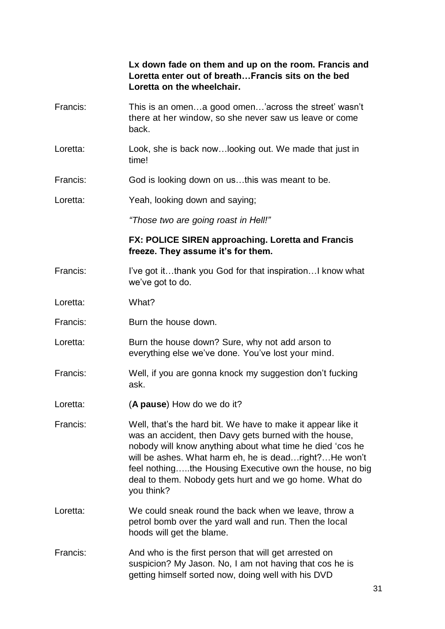**Lx down fade on them and up on the room. Francis and Loretta enter out of breath…Francis sits on the bed Loretta on the wheelchair.**

- Francis: This is an omen…a good omen…'across the street' wasn't there at her window, so she never saw us leave or come back.
- Loretta: Look, she is back now...looking out. We made that just in time!
- Francis: God is looking down on us…this was meant to be.

Loretta: Yeah, looking down and saying;

*"Those two are going roast in Hell!"*

#### **FX: POLICE SIREN approaching. Loretta and Francis freeze. They assume it's for them.**

- Francis: I've got it...thank you God for that inspiration...I know what we've got to do.
- Loretta: What?
- Francis: Burn the house down.
- Loretta: Burn the house down? Sure, why not add arson to everything else we've done. You've lost your mind.
- Francis: Well, if you are gonna knock my suggestion don't fucking ask.
- Loretta: (**A pause**) How do we do it?
- Francis: Well, that's the hard bit. We have to make it appear like it was an accident, then Davy gets burned with the house, nobody will know anything about what time he died 'cos he will be ashes. What harm eh, he is dead…right?…He won't feel nothing…..the Housing Executive own the house, no big deal to them. Nobody gets hurt and we go home. What do you think?
- Loretta: We could sneak round the back when we leave, throw a petrol bomb over the yard wall and run. Then the local hoods will get the blame.
- Francis: And who is the first person that will get arrested on suspicion? My Jason. No, I am not having that cos he is getting himself sorted now, doing well with his DVD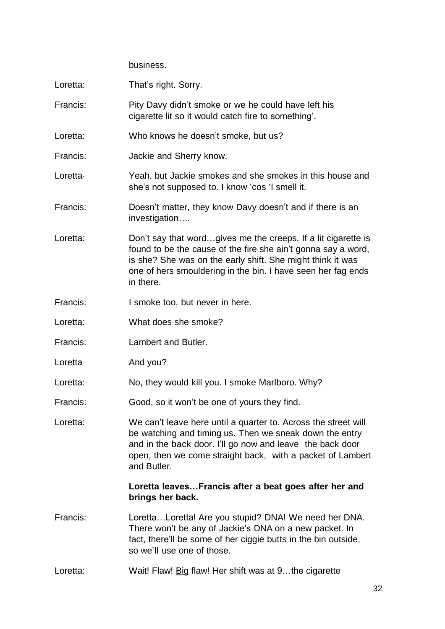business.

| Loretta: | That's right. Sorry.                                                                                                                                                                                                                                                      |
|----------|---------------------------------------------------------------------------------------------------------------------------------------------------------------------------------------------------------------------------------------------------------------------------|
| Francis: | Pity Davy didn't smoke or we he could have left his<br>cigarette lit so it would catch fire to something'.                                                                                                                                                                |
| Loretta: | Who knows he doesn't smoke, but us?                                                                                                                                                                                                                                       |
| Francis: | Jackie and Sherry know.                                                                                                                                                                                                                                                   |
| Loretta- | Yeah, but Jackie smokes and she smokes in this house and<br>she's not supposed to. I know 'cos 'I smell it.                                                                                                                                                               |
| Francis: | Doesn't matter, they know Davy doesn't and if there is an<br>investigation                                                                                                                                                                                                |
| Loretta: | Don't say that wordgives me the creeps. If a lit cigarette is<br>found to be the cause of the fire she ain't gonna say a word,<br>is she? She was on the early shift. She might think it was<br>one of hers smouldering in the bin. I have seen her fag ends<br>in there. |
| Francis: | I smoke too, but never in here.                                                                                                                                                                                                                                           |
| Loretta: | What does she smoke?                                                                                                                                                                                                                                                      |
| Francis: | Lambert and Butler.                                                                                                                                                                                                                                                       |
| Loretta  | And you?                                                                                                                                                                                                                                                                  |
| Loretta: | No, they would kill you. I smoke Marlboro. Why?                                                                                                                                                                                                                           |
| Francis: | Good, so it won't be one of yours they find.                                                                                                                                                                                                                              |
| Loretta: | We can't leave here until a quarter to. Across the street will<br>be watching and timing us. Then we sneak down the entry<br>and in the back door. I'll go now and leave the back door<br>open, then we come straight back, with a packet of Lambert<br>and Butler.       |
|          | Loretta leavesFrancis after a beat goes after her and<br>brings her back.                                                                                                                                                                                                 |
| Francis: | LorettaLoretta! Are you stupid? DNA! We need her DNA.<br>There won't be any of Jackie's DNA on a new packet. In<br>fact, there'll be some of her ciggie butts in the bin outside,<br>so we'll use one of those.                                                           |
| Loretta: | Wait! Flaw! Big flaw! Her shift was at 9the cigarette                                                                                                                                                                                                                     |
|          |                                                                                                                                                                                                                                                                           |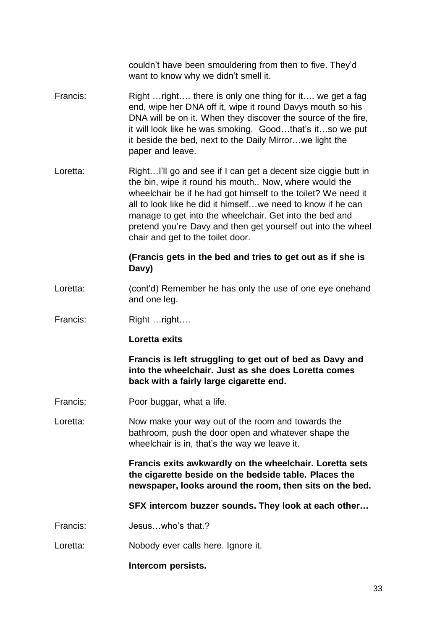couldn't have been smouldering from then to five. They'd want to know why we didn't smell it.

- Francis: Right …right…. there is only one thing for it…. we get a fag end, wipe her DNA off it, wipe it round Davys mouth so his DNA will be on it. When they discover the source of the fire, it will look like he was smoking. Good…that's it…so we put it beside the bed, next to the Daily Mirror…we light the paper and leave.
- Loretta: Right...I'll go and see if I can get a decent size ciggie butt in the bin, wipe it round his mouth.. Now, where would the wheelchair be if he had got himself to the toilet? We need it all to look like he did it himself…we need to know if he can manage to get into the wheelchair. Get into the bed and pretend you're Davy and then get yourself out into the wheel chair and get to the toilet door.

#### **(Francis gets in the bed and tries to get out as if she is Davy)**

- Loretta: (cont'd) Remember he has only the use of one eye onehand and one leg.
- Francis: Right …right….

#### **Loretta exits**

**Francis is left struggling to get out of bed as Davy and into the wheelchair. Just as she does Loretta comes back with a fairly large cigarette end.**

- Francis: Poor buggar, what a life.
- Loretta: Now make your way out of the room and towards the bathroom, push the door open and whatever shape the wheelchair is in, that's the way we leave it.

**Francis exits awkwardly on the wheelchair. Loretta sets the cigarette beside on the bedside table. Places the newspaper, looks around the room, then sits on the bed.**

**SFX intercom buzzer sounds. They look at each other…**

- Francis: Jesus…who's that.?
- Loretta: Nobody ever calls here. Ignore it.

#### **Intercom persists.**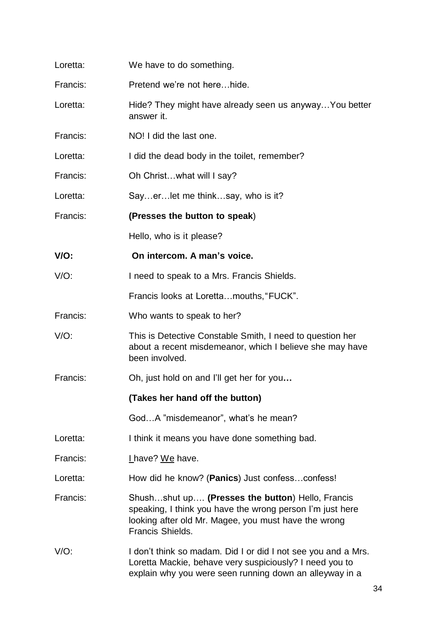| Loretta: | We have to do something.                                                                                                                                                                  |
|----------|-------------------------------------------------------------------------------------------------------------------------------------------------------------------------------------------|
| Francis: | Pretend we're not herehide.                                                                                                                                                               |
| Loretta: | Hide? They might have already seen us anyway You better<br>answer it.                                                                                                                     |
| Francis: | NO! I did the last one.                                                                                                                                                                   |
| Loretta: | I did the dead body in the toilet, remember?                                                                                                                                              |
| Francis: | Oh Christwhat will I say?                                                                                                                                                                 |
| Loretta: | Sayerlet me thinksay, who is it?                                                                                                                                                          |
| Francis: | (Presses the button to speak)                                                                                                                                                             |
|          | Hello, who is it please?                                                                                                                                                                  |
| V/O:     | On intercom. A man's voice.                                                                                                                                                               |
| $V/O$ :  | I need to speak to a Mrs. Francis Shields.                                                                                                                                                |
|          | Francis looks at Lorettamouths, "FUCK".                                                                                                                                                   |
| Francis: | Who wants to speak to her?                                                                                                                                                                |
| $V/O$ :  | This is Detective Constable Smith, I need to question her<br>about a recent misdemeanor, which I believe she may have<br>been involved.                                                   |
| Francis: | Oh, just hold on and I'll get her for you                                                                                                                                                 |
|          | (Takes her hand off the button)                                                                                                                                                           |
|          | GodA "misdemeanor", what's he mean?                                                                                                                                                       |
| Loretta: | I think it means you have done something bad.                                                                                                                                             |
| Francis: | I have? We have.                                                                                                                                                                          |
| Loretta: | How did he know? (Panics) Just confessconfess!                                                                                                                                            |
| Francis: | Shushshut up (Presses the button) Hello, Francis<br>speaking, I think you have the wrong person I'm just here<br>looking after old Mr. Magee, you must have the wrong<br>Francis Shields. |
| $V/O$ :  | I don't think so madam. Did I or did I not see you and a Mrs.<br>Loretta Mackie, behave very suspiciously? I need you to<br>explain why you were seen running down an alleyway in a       |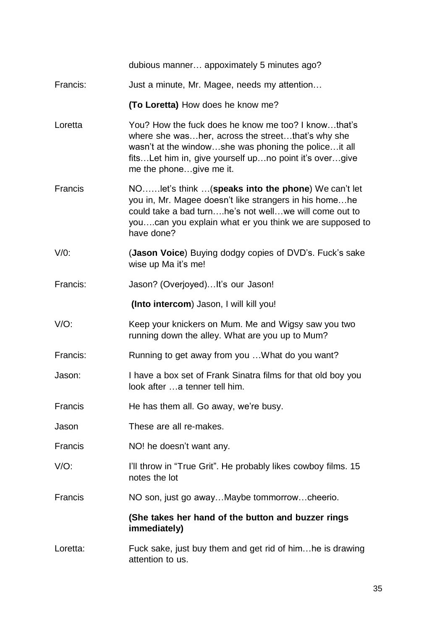|          | dubious manner appoximately 5 minutes ago?                                                                                                                                                                                                            |
|----------|-------------------------------------------------------------------------------------------------------------------------------------------------------------------------------------------------------------------------------------------------------|
| Francis: | Just a minute, Mr. Magee, needs my attention                                                                                                                                                                                                          |
|          | (To Loretta) How does he know me?                                                                                                                                                                                                                     |
| Loretta  | You? How the fuck does he know me too? I knowthat's<br>where she washer, across the streetthat's why she<br>wasn't at the windowshe was phoning the policeit all<br>fitsLet him in, give yourself upno point it's overgive<br>me the phonegive me it. |
| Francis  | NOlet's think  (speaks into the phone) We can't let<br>you in, Mr. Magee doesn't like strangers in his homehe<br>could take a bad turnhe's not wellwe will come out to<br>youcan you explain what er you think we are supposed to<br>have done?       |
| $V/0$ :  | (Jason Voice) Buying dodgy copies of DVD's. Fuck's sake<br>wise up Ma it's me!                                                                                                                                                                        |
| Francis: | Jason? (Overjoyed) It's our Jason!                                                                                                                                                                                                                    |
|          | (Into intercom) Jason, I will kill you!                                                                                                                                                                                                               |
| $V/O$ :  | Keep your knickers on Mum. Me and Wigsy saw you two<br>running down the alley. What are you up to Mum?                                                                                                                                                |
| Francis: | Running to get away from you  What do you want?                                                                                                                                                                                                       |
| Jason:   | I have a box set of Frank Sinatra films for that old boy you<br>look after  a tenner tell him.                                                                                                                                                        |
| Francis  | He has them all. Go away, we're busy.                                                                                                                                                                                                                 |
| Jason    | These are all re-makes.                                                                                                                                                                                                                               |
| Francis  | NO! he doesn't want any.                                                                                                                                                                                                                              |
| $V/O$ :  | I'll throw in "True Grit". He probably likes cowboy films. 15<br>notes the lot                                                                                                                                                                        |
| Francis  | NO son, just go awayMaybe tommorrowcheerio.                                                                                                                                                                                                           |
|          | (She takes her hand of the button and buzzer rings<br>immediately)                                                                                                                                                                                    |
| Loretta: | Fuck sake, just buy them and get rid of him he is drawing<br>attention to us.                                                                                                                                                                         |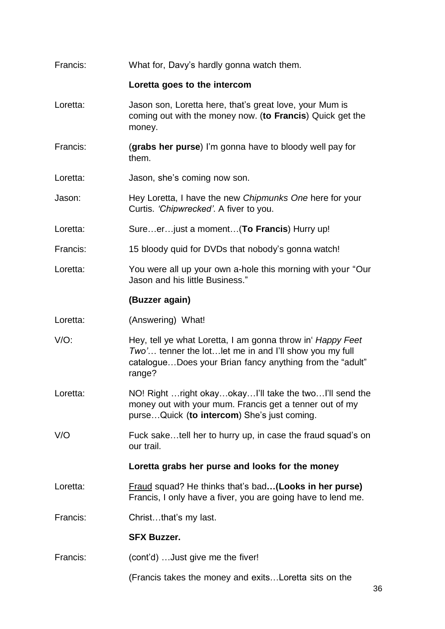| Francis: | What for, Davy's hardly gonna watch them.                                                                                                                                                         |
|----------|---------------------------------------------------------------------------------------------------------------------------------------------------------------------------------------------------|
|          | Loretta goes to the intercom                                                                                                                                                                      |
| Loretta: | Jason son, Loretta here, that's great love, your Mum is<br>coming out with the money now. (to Francis) Quick get the<br>money.                                                                    |
| Francis: | (grabs her purse) I'm gonna have to bloody well pay for<br>them.                                                                                                                                  |
| Loretta: | Jason, she's coming now son.                                                                                                                                                                      |
| Jason:   | Hey Loretta, I have the new Chipmunks One here for your<br>Curtis. 'Chipwrecked'. A fiver to you.                                                                                                 |
| Loretta: | Sureer just a moment (To Francis) Hurry up!                                                                                                                                                       |
| Francis: | 15 bloody quid for DVDs that nobody's gonna watch!                                                                                                                                                |
| Loretta: | You were all up your own a-hole this morning with your "Our<br>Jason and his little Business."                                                                                                    |
|          | (Buzzer again)                                                                                                                                                                                    |
| Loretta: | (Answering) What!                                                                                                                                                                                 |
| $V/O$ :  | Hey, tell ye what Loretta, I am gonna throw in <i>Happy Feet</i><br>Two' tenner the lot let me in and I'll show you my full<br>catalogueDoes your Brian fancy anything from the "adult"<br>range? |
| Loretta: | NO! Right  right okayokay!'ll take the two!'ll send the<br>money out with your mum. Francis get a tenner out of my<br>purseQuick (to intercom) She's just coming.                                 |
| V/O      | Fuck saketell her to hurry up, in case the fraud squad's on<br>our trail.                                                                                                                         |
|          | Loretta grabs her purse and looks for the money                                                                                                                                                   |
| Loretta: | Fraud squad? He thinks that's bad(Looks in her purse)<br>Francis, I only have a fiver, you are going have to lend me.                                                                             |
| Francis: | Christthat's my last.                                                                                                                                                                             |
|          | <b>SFX Buzzer.</b>                                                                                                                                                                                |
| Francis: | (cont'd)  Just give me the fiver!                                                                                                                                                                 |
|          | (Francis takes the money and exitsLoretta sits on the                                                                                                                                             |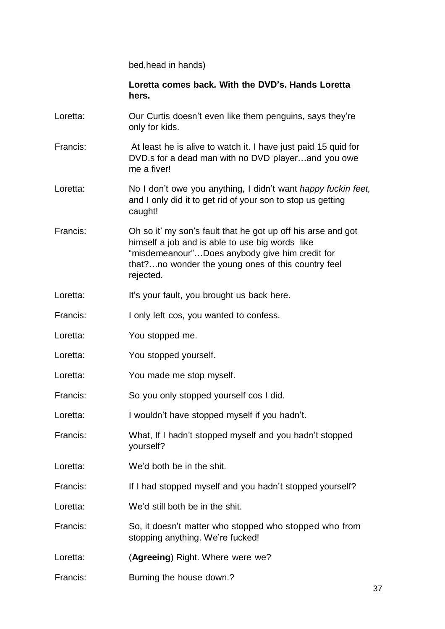bed,head in hands)

**Loretta comes back. With the DVD's. Hands Loretta hers.**

- Loretta: Our Curtis doesn't even like them penguins, says they're only for kids.
- Francis: At least he is alive to watch it. I have just paid 15 quid for DVD.s for a dead man with no DVD player…and you owe me a fiver!
- Loretta: No I don't owe you anything, I didn't want *happy fuckin feet,* and I only did it to get rid of your son to stop us getting caught!
- Francis: Oh so it' my son's fault that he got up off his arse and got himself a job and is able to use big words like "misdemeanour"…Does anybody give him credit for that?…no wonder the young ones of this country feel rejected.
- Loretta: It's your fault, you brought us back here.
- Francis: I only left cos, you wanted to confess.
- Loretta: You stopped me.
- Loretta: You stopped yourself.
- Loretta: You made me stop myself.
- Francis: So you only stopped yourself cos I did.
- Loretta: I wouldn't have stopped myself if you hadn't.
- Francis: What, If I hadn't stopped myself and you hadn't stopped yourself?
- Loretta: We'd both be in the shit.
- Francis: If I had stopped myself and you hadn't stopped yourself?
- Loretta: We'd still both be in the shit.
- Francis: So, it doesn't matter who stopped who stopped who from stopping anything. We're fucked!
- Loretta: **(Agreeing)** Right. Where were we?
- Francis: Burning the house down.?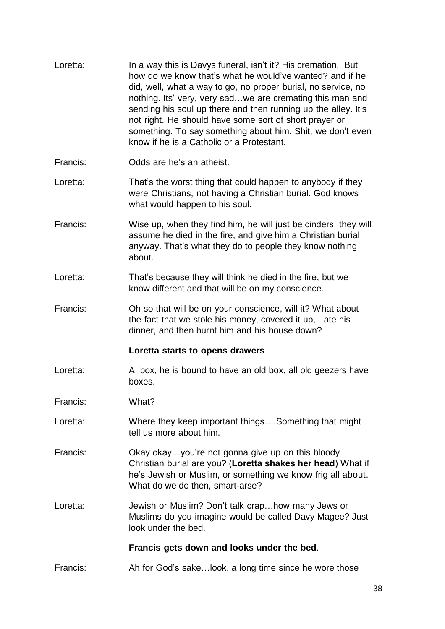| Loretta: | In a way this is Davys funeral, isn't it? His cremation. But<br>how do we know that's what he would've wanted? and if he<br>did, well, what a way to go, no proper burial, no service, no<br>nothing. Its' very, very sadwe are cremating this man and<br>sending his soul up there and then running up the alley. It's<br>not right. He should have some sort of short prayer or<br>something. To say something about him. Shit, we don't even<br>know if he is a Catholic or a Protestant. |
|----------|----------------------------------------------------------------------------------------------------------------------------------------------------------------------------------------------------------------------------------------------------------------------------------------------------------------------------------------------------------------------------------------------------------------------------------------------------------------------------------------------|
| Francis: | Odds are he's an atheist.                                                                                                                                                                                                                                                                                                                                                                                                                                                                    |
| Loretta: | That's the worst thing that could happen to anybody if they<br>were Christians, not having a Christian burial. God knows<br>what would happen to his soul.                                                                                                                                                                                                                                                                                                                                   |
| Francis: | Wise up, when they find him, he will just be cinders, they will<br>assume he died in the fire, and give him a Christian burial<br>anyway. That's what they do to people they know nothing<br>about.                                                                                                                                                                                                                                                                                          |
| Loretta: | That's because they will think he died in the fire, but we<br>know different and that will be on my conscience.                                                                                                                                                                                                                                                                                                                                                                              |
| Francis: | Oh so that will be on your conscience, will it? What about<br>the fact that we stole his money, covered it up, ate his<br>dinner, and then burnt him and his house down?                                                                                                                                                                                                                                                                                                                     |
|          | Loretta starts to opens drawers                                                                                                                                                                                                                                                                                                                                                                                                                                                              |
| Loretta: | A box, he is bound to have an old box, all old geezers have<br>boxes.                                                                                                                                                                                                                                                                                                                                                                                                                        |
| Francis: | What?                                                                                                                                                                                                                                                                                                                                                                                                                                                                                        |
| Loretta: | Where they keep important thingsSomething that might<br>tell us more about him.                                                                                                                                                                                                                                                                                                                                                                                                              |
| Francis: | Okay okayyou're not gonna give up on this bloody<br>Christian burial are you? (Loretta shakes her head) What if<br>he's Jewish or Muslim, or something we know frig all about.<br>What do we do then, smart-arse?                                                                                                                                                                                                                                                                            |
| Loretta: | Jewish or Muslim? Don't talk craphow many Jews or<br>Muslims do you imagine would be called Davy Magee? Just<br>look under the bed.                                                                                                                                                                                                                                                                                                                                                          |
|          | Francis gets down and looks under the bed.                                                                                                                                                                                                                                                                                                                                                                                                                                                   |
| Francis: | Ah for God's sakelook, a long time since he wore those                                                                                                                                                                                                                                                                                                                                                                                                                                       |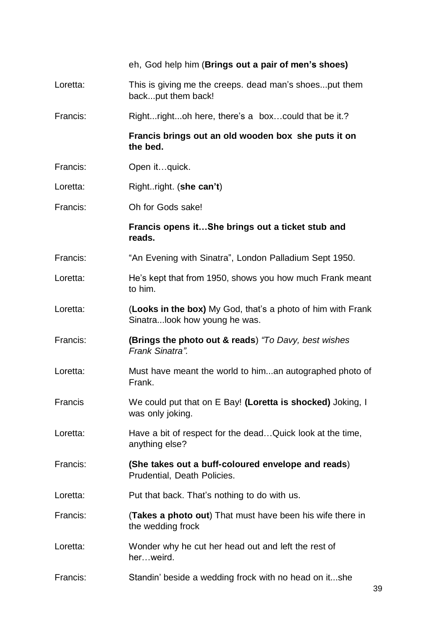|          | eh, God help him (Brings out a pair of men's shoes)                                          |
|----------|----------------------------------------------------------------------------------------------|
| Loretta: | This is giving me the creeps. dead man's shoesput them<br>backput them back!                 |
| Francis: | Rightrightoh here, there's a boxcould that be it.?                                           |
|          | Francis brings out an old wooden box she puts it on<br>the bed.                              |
| Francis: | Open itquick.                                                                                |
| Loretta: | Rightright. (she can't)                                                                      |
| Francis: | Oh for Gods sake!                                                                            |
|          | Francis opens itShe brings out a ticket stub and<br>reads.                                   |
| Francis: | "An Evening with Sinatra", London Palladium Sept 1950.                                       |
| Loretta: | He's kept that from 1950, shows you how much Frank meant<br>to him.                          |
| Loretta: | (Looks in the box) My God, that's a photo of him with Frank<br>Sinatralook how young he was. |
| Francis: | <b>(Brings the photo out &amp; reads)</b> "To Davy, best wishes<br>Frank Sinatra".           |
| Loretta: | Must have meant the world to himan autographed photo of<br>Frank.                            |
| Francis  | We could put that on E Bay! (Loretta is shocked) Joking, I<br>was only joking.               |
| Loretta: | Have a bit of respect for the deadQuick look at the time,<br>anything else?                  |
| Francis: | (She takes out a buff-coloured envelope and reads)<br>Prudential, Death Policies.            |
| Loretta: | Put that back. That's nothing to do with us.                                                 |
| Francis: | (Takes a photo out) That must have been his wife there in<br>the wedding frock               |
| Loretta: | Wonder why he cut her head out and left the rest of<br>herweird.                             |
| Francis: | Standin' beside a wedding frock with no head on itshe                                        |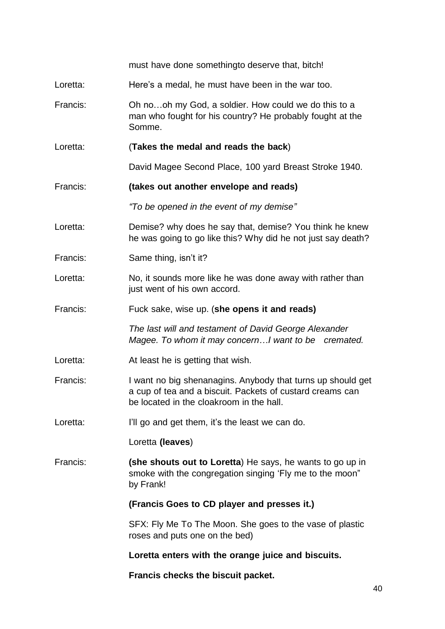must have done somethingto deserve that, bitch! Loretta: Here's a medal, he must have been in the war too. Francis: Oh no…oh my God, a soldier. How could we do this to a man who fought for his country? He probably fought at the Somme. Loretta: (**Takes the medal and reads the back**) David Magee Second Place, 100 yard Breast Stroke 1940. Francis: **(takes out another envelope and reads)** *"To be opened in the event of my demise"* Loretta: Demise? why does he say that, demise? You think he knew he was going to go like this? Why did he not just say death? Francis: Same thing, isn't it? Loretta: No, it sounds more like he was done away with rather than just went of his own accord. Francis: Fuck sake, wise up. (**she opens it and reads)** *The last will and testament of David George Alexander Magee. To whom it may concern…I want to be cremated.* Loretta: At least he is getting that wish. Francis: I want no big shenanagins. Anybody that turns up should get a cup of tea and a biscuit. Packets of custard creams can be located in the cloakroom in the hall. Loretta: I'll go and get them, it's the least we can do. Loretta **(leaves**) Francis: **(she shouts out to Loretta**) He says, he wants to go up in smoke with the congregation singing 'Fly me to the moon" by Frank! **(Francis Goes to CD player and presses it.)** SFX: Fly Me To The Moon. She goes to the vase of plastic roses and puts one on the bed) **Loretta enters with the orange juice and biscuits. Francis checks the biscuit packet.**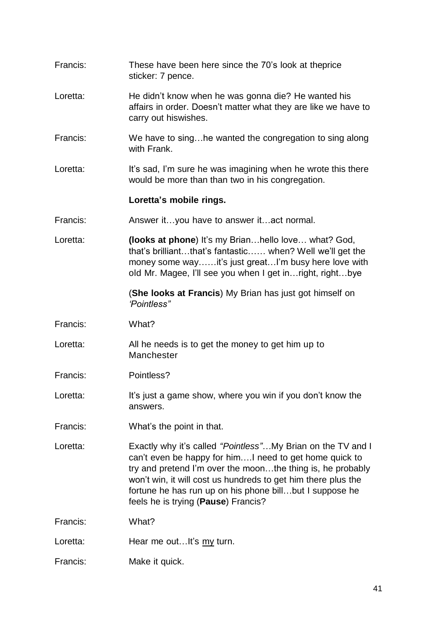| Francis: | These have been here since the 70's look at theprice<br>sticker: 7 pence.                                                                                                                                                                                                                                                                                |
|----------|----------------------------------------------------------------------------------------------------------------------------------------------------------------------------------------------------------------------------------------------------------------------------------------------------------------------------------------------------------|
| Loretta: | He didn't know when he was gonna die? He wanted his<br>affairs in order. Doesn't matter what they are like we have to<br>carry out hiswishes.                                                                                                                                                                                                            |
| Francis: | We have to singhe wanted the congregation to sing along<br>with Frank.                                                                                                                                                                                                                                                                                   |
| Loretta: | It's sad, I'm sure he was imagining when he wrote this there<br>would be more than than two in his congregation.                                                                                                                                                                                                                                         |
|          | Loretta's mobile rings.                                                                                                                                                                                                                                                                                                                                  |
| Francis: | Answer ityou have to answer itact normal.                                                                                                                                                                                                                                                                                                                |
| Loretta: | (looks at phone) It's my Brianhello love what? God,<br>that's brilliantthat's fantastic when? Well we'll get the<br>money some wayit's just greatI'm busy here love with<br>old Mr. Magee, I'll see you when I get in right, rightbye                                                                                                                    |
|          | (She looks at Francis) My Brian has just got himself on<br>'Pointless"                                                                                                                                                                                                                                                                                   |
| Francis: | What?                                                                                                                                                                                                                                                                                                                                                    |
| Loretta: | All he needs is to get the money to get him up to<br>Manchester                                                                                                                                                                                                                                                                                          |
| Francis: | Pointless?                                                                                                                                                                                                                                                                                                                                               |
| Loretta: | It's just a game show, where you win if you don't know the<br>answers.                                                                                                                                                                                                                                                                                   |
| Francis: | What's the point in that.                                                                                                                                                                                                                                                                                                                                |
| Loretta: |                                                                                                                                                                                                                                                                                                                                                          |
|          | Exactly why it's called "Pointless" My Brian on the TV and I<br>can't even be happy for him I need to get home quick to<br>try and pretend I'm over the moonthe thing is, he probably<br>won't win, it will cost us hundreds to get him there plus the<br>fortune he has run up on his phone billbut I suppose he<br>feels he is trying (Pause) Francis? |
| Francis: | What?                                                                                                                                                                                                                                                                                                                                                    |
| Loretta: | Hear me outIt's my turn.                                                                                                                                                                                                                                                                                                                                 |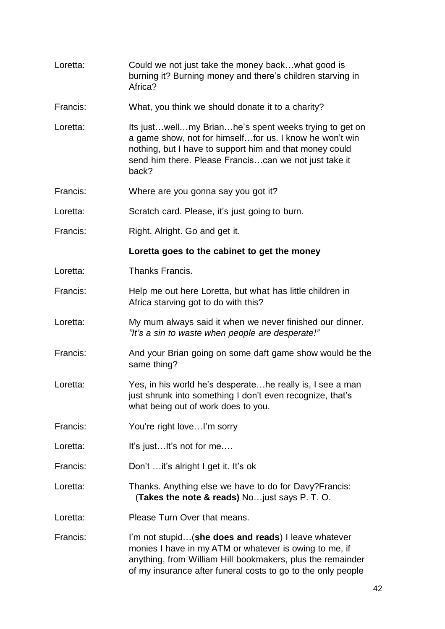| Loretta: | Could we not just take the money backwhat good is<br>burning it? Burning money and there's children starving in<br>Africa?                                                                                                                        |
|----------|---------------------------------------------------------------------------------------------------------------------------------------------------------------------------------------------------------------------------------------------------|
| Francis: | What, you think we should donate it to a charity?                                                                                                                                                                                                 |
| Loretta: | Its just well my Brian he's spent weeks trying to get on<br>a game show, not for himselffor us. I know he won't win<br>nothing, but I have to support him and that money could<br>send him there. Please Francis can we not just take it<br>back? |
| Francis: | Where are you gonna say you got it?                                                                                                                                                                                                               |
| Loretta: | Scratch card. Please, it's just going to burn.                                                                                                                                                                                                    |
| Francis: | Right. Alright. Go and get it.                                                                                                                                                                                                                    |
|          | Loretta goes to the cabinet to get the money                                                                                                                                                                                                      |
| Loretta: | Thanks Francis.                                                                                                                                                                                                                                   |
| Francis: | Help me out here Loretta, but what has little children in<br>Africa starving got to do with this?                                                                                                                                                 |
| Loretta: | My mum always said it when we never finished our dinner.<br>"It's a sin to waste when people are desperate!"                                                                                                                                      |
| Francis: | And your Brian going on some daft game show would be the<br>same thing?                                                                                                                                                                           |
| Loretta: | Yes, in his world he's desperatehe really is, I see a man<br>just shrunk into something I don't even recognize, that's<br>what being out of work does to you.                                                                                     |
| Francis: | You're right loveI'm sorry                                                                                                                                                                                                                        |
| Loretta: | It's justIt's not for me                                                                                                                                                                                                                          |
| Francis: | Don't  it's alright I get it. It's ok                                                                                                                                                                                                             |
| Loretta: | Thanks. Anything else we have to do for Davy? Francis:<br><b>(Takes the note &amp; reads)</b> No just says P. T. O.                                                                                                                               |
| Loretta: | Please Turn Over that means.                                                                                                                                                                                                                      |
| Francis: | I'm not stupid(she does and reads) I leave whatever<br>monies I have in my ATM or whatever is owing to me, if<br>anything, from William Hill bookmakers, plus the remainder<br>of my insurance after funeral costs to go to the only people       |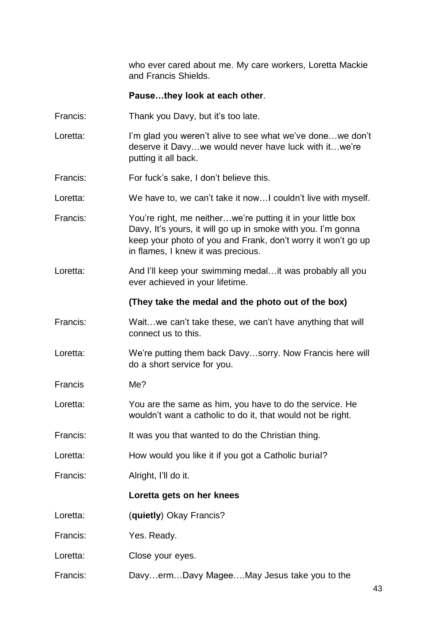who ever cared about me. My care workers, Loretta Mackie and Francis Shields.

#### **Pause…they look at each other**.

- Francis: Thank you Davy, but it's too late.
- Loretta: I'm glad you weren't alive to see what we've done...we don't deserve it Davy…we would never have luck with it…we're putting it all back.
- Francis: For fuck's sake, I don't believe this.
- Loretta: We have to, we can't take it now... I couldn't live with myself.
- Francis: You're right, me neither...we're putting it in your little box Davy, It's yours, it will go up in smoke with you. I'm gonna keep your photo of you and Frank, don't worry it won't go up in flames, I knew it was precious.
- Loretta: And I'll keep your swimming medal...it was probably all you ever achieved in your lifetime.

#### **(They take the medal and the photo out of the box)**

- Francis: Wait…we can't take these, we can't have anything that will connect us to this.
- Loretta: We're putting them back Davy…sorry. Now Francis here will do a short service for you.
- Francis Me?
- Loretta: You are the same as him, you have to do the service. He wouldn't want a catholic to do it, that would not be right.
- Francis: It was you that wanted to do the Christian thing.
- Loretta: How would you like it if you got a Catholic burial?
- Francis: Alright, I'll do it.

#### **Loretta gets on her knees**

- Loretta: (**quietly**) Okay Francis?
- Francis: Yes. Ready.
- Loretta: Close your eyes.
- Francis: Davy…erm…Davy Magee….May Jesus take you to the